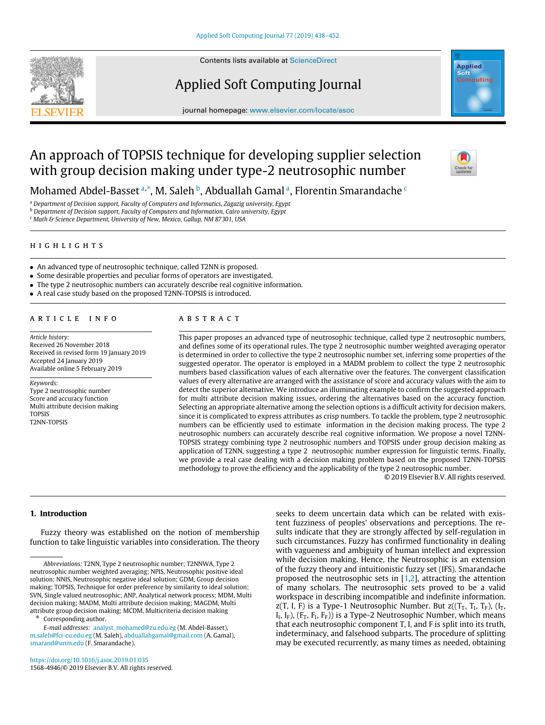

Contents lists available at [ScienceDirect](http://www.elsevier.com/locate/asoc)

# Applied Soft Computing Journal



journal homepage: [www.elsevier.com/locate/asoc](http://www.elsevier.com/locate/asoc)

# An approach of TOPSIS technique for developing supplier selection with group decision making under type-2 neutrosophic number



Moh[a](#page-0-0)med A[b](#page-0-2)del-Basset ª,\*, M. Saleh <sup>b</sup>, Abduallah Gamal ª, Florentin Smaranda[c](#page-0-3)he <sup>c</sup>

<span id="page-0-0"></span><sup>a</sup> *Department of Decision support, Faculty of Computers and Informatics, Zagazig university, Egypt*

<span id="page-0-2"></span><sup>b</sup> *Department of Decision support, Faculty of Computers and Information, Cairo university, Egypt*

<span id="page-0-3"></span><sup>c</sup> *Math & Science Department, University of New, Mexico, Gallup, NM 87301, USA*

## h i g h l i g h t s

- An advanced type of neutrosophic technique, called T2NN is proposed.
- Some desirable properties and peculiar forms of operators are investigated.
- The type 2 neutrosophic numbers can accurately describe real cognitive information.
- A real case study based on the proposed T2NN-TOPSIS is introduced.

#### a r t i c l e i n f o

*Article history:* Received 26 November 2018 Received in revised form 19 January 2019 Accepted 24 January 2019 Available online 5 February 2019

*Keywords:* Type 2 neutrosophic number Score and accuracy function Multi attribute decision making TOPSIS T2NN-TOPSIS

#### A B S T R A C T

This paper proposes an advanced type of neutrosophic technique, called type 2 neutrosophic numbers, and defines some of its operational rules. The type 2 neutrosophic number weighted averaging operator is determined in order to collective the type 2 neutrosophic number set, inferring some properties of the suggested operator. The operator is employed in a MADM problem to collect the type 2 neutrosophic numbers based classification values of each alternative over the features. The convergent classification values of every alternative are arranged with the assistance of score and accuracy values with the aim to detect the superior alternative. We introduce an illuminating example to confirm the suggested approach for multi attribute decision making issues, ordering the alternatives based on the accuracy function. Selecting an appropriate alternative among the selection options is a difficult activity for decision makers, since it is complicated to express attributes as crisp numbers. To tackle the problem, type 2 neutrosophic numbers can be efficiently used to estimate information in the decision making process. The type 2 neutrosophic numbers can accurately describe real cognitive information. We propose a novel T2NN-TOPSIS strategy combining type 2 neutrosophic numbers and TOPSIS under group decision making as application of T2NN, suggesting a type 2 neutrosophic number expression for linguistic terms. Finally, we provide a real case dealing with a decision making problem based on the proposed T2NN-TOPSIS methodology to prove the efficiency and the applicability of the type 2 neutrosophic number.

© 2019 Elsevier B.V. All rights reserved.

# **1. Introduction**

Fuzzy theory was established on the notion of membership function to take linguistic variables into consideration. The theory

<span id="page-0-1"></span>Corresponding author.

*E-mail addresses:* [analyst\\_mohamed@zu.edu.eg](mailto:analyst_mohamed@zu.edu.eg) (M. Abdel-Basset), [m.saleh@fci-cu.edu.eg](mailto:m.saleh@fci-cu.edu.eg) (M. Saleh), [abduallahgamal@gmail.com](mailto:abduallahgamal@gmail.com) (A. Gamal), [smarand@unm.edu](mailto:smarand@unm.edu) (F. Smarandache).

seeks to deem uncertain data which can be related with existent fuzziness of peoples' observations and perceptions. The results indicate that they are strongly affected by self-regulation in such circumstances. Fuzzy has confirmed functionality in dealing with vagueness and ambiguity of human intellect and expression while decision making. Hence, the Neutrosophic is an extension of the fuzzy theory and intuitionistic fuzzy set (IFS). Smarandache proposed the neutrosophic sets in [[1](#page-14-0)[,2](#page-14-1)], attracting the attention of many scholars. The neutrosophic sets proved to be a valid workspace in describing incompatible and indefinite information. z(T, I, F) is a Type-1 Neutrosophic Number. But z( $(T_T, T_I, T_F)$ ,  $(I_T, I_T)$  $I_I$ ,  $I_F$ ),  $(F_T, F_I, F_F)$ ) is a Type-2 Neutrosophic Number, which means that each neutrosophic component T, I, and F is split into its truth, indeterminacy, and falsehood subparts. The procedure of splitting may be executed recurrently, as many times as needed, obtaining

*Abbreviations:* T2NN, Type 2 neutrosophic number; T2NNWA, Type 2 neutrosophic number weighted averaging; NPIS, Neutrosophic positive ideal solution; NNIS, Neutrosophic negative ideal solution; GDM, Group decision making; TOPSIS, Technique for order preference by similarity to ideal solution; SVN, Single valued neutrosophic; ANP, Analytical network process; MDM, Multi decision making; MADM, Multi attribute decision making; MAGDM, Multi attribute group decision making; MCDM, Multicriteria decision making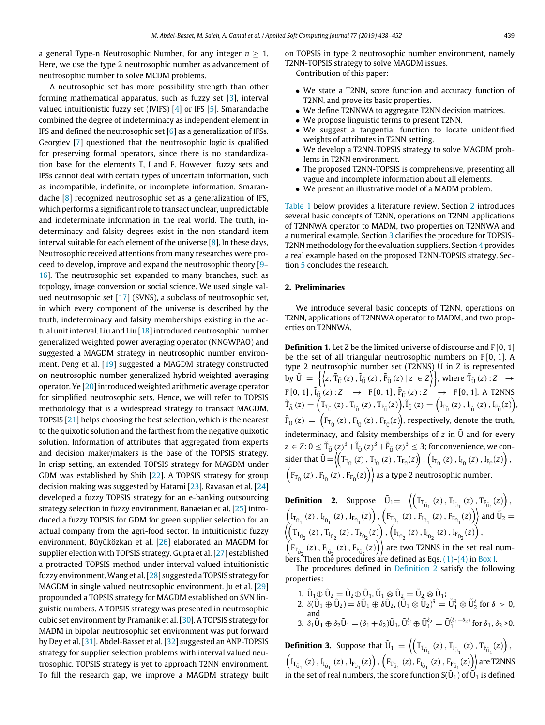a general Type-n Neutrosophic Number, for any integer *n* ≥ 1. Here, we use the type 2 neutrosophic number as advancement of neutrosophic number to solve MCDM problems.

A neutrosophic set has more possibility strength than other forming mathematical apparatus, such as fuzzy set [[3\]](#page-14-2), interval valued intuitionistic fuzzy set (IVIFS) [\[4\]](#page-14-3) or IFS [\[5](#page-14-4)]. Smarandache combined the degree of indeterminacy as independent element in IFS and defined the neutrosophic set [\[6\]](#page-14-5) as a generalization of IFSs. Georgiev [\[7\]](#page-14-6) questioned that the neutrosophic logic is qualified for preserving formal operators, since there is no standardization base for the elements T, I and F. However, fuzzy sets and IFSs cannot deal with certain types of uncertain information, such as incompatible, indefinite, or incomplete information. Smarandache [\[8\]](#page-14-7) recognized neutrosophic set as a generalization of IFS, which performs a significant role to transact unclear, unpredictable and indeterminate information in the real world. The truth, indeterminacy and falsity degrees exist in the non-standard item interval suitable for each element of the universe [\[8](#page-14-7)]. In these days, Neutrosophic received attentions from many researches were proceed to develop, improve and expand the neutrosophic theory [[9–](#page-14-8) [16](#page-14-9)]. The neutrosophic set expanded to many branches, such as topology, image conversion or social science. We used single valued neutrosophic set [\[17](#page-14-10)] (SVNS), a subclass of neutrosophic set, in which every component of the universe is described by the truth, indeterminacy and falsity memberships existing in the actual unit interval. Liu and Liu [[18\]](#page-14-11) introduced neutrosophic number generalized weighted power averaging operator (NNGWPAO) and suggested a MAGDM strategy in neutrosophic number environment. Peng et al. [\[19](#page-14-12)] suggested a MAGDM strategy constructed on neutrosophic number generalized hybrid weighted averaging operator. Ye [[20\]](#page-14-13) introduced weighted arithmetic average operator for simplified neutrosophic sets. Hence, we will refer to TOPSIS methodology that is a widespread strategy to transact MAGDM. TOPSIS [[21\]](#page-14-14) helps choosing the best selection, which is the nearest to the quixotic solution and the farthest from the negative quixotic solution. Information of attributes that aggregated from experts and decision maker/makers is the base of the TOPSIS strategy. In crisp setting, an extended TOPSIS strategy for MAGDM under GDM was established by Shih [\[22\]](#page-14-15). A TOPSIS strategy for group decision making was suggested by Hatami [\[23\]](#page-14-16). Ravasan et al. [[24\]](#page-14-17) developed a fuzzy TOPSIS strategy for an e-banking outsourcing strategy selection in fuzzy environment. Banaeian et al. [[25\]](#page-14-18) introduced a fuzzy TOPSIS for GDM for green supplier selection for an actual company from the agri-food sector. In intuitionistic fuzzy environment, Büyüközkan et al. [[26](#page-14-19)] elaborated an MAGDM for supplier election with TOPSIS strategy. Gupta et al. [\[27\]](#page-14-20) established a protracted TOPSIS method under interval-valued intuitionistic fuzzy environment.Wang et al. [\[28\]](#page-14-21) suggested a TOPSIS strategy for MAGDM in single valued neutrosophic environment. Ju et al. [[29\]](#page-14-22) propounded a TOPSIS strategy for MAGDM established on SVN linguistic numbers. A TOPSIS strategy was presented in neutrosophic cubic set environment by Pramanik et al. [\[30\]](#page-14-23). A TOPSIS strategy for MADM in bipolar neutrosophic set environment was put forward by Dey et al. [\[31](#page-14-24)]. Abdel-Basset et al. [\[32](#page-14-25)] suggested an ANP-TOPSIS strategy for supplier selection problems with interval valued neutrosophic. TOPSIS strategy is yet to approach T2NN environment. To fill the research gap, we improve a MAGDM strategy built on TOPSIS in type 2 neutrosophic number environment, namely T2NN-TOPSIS strategy to solve MAGDM issues.

Contribution of this paper:

- We state a T2NN, score function and accuracy function of T2NN, and prove its basic properties.
- We define T2NNWA to aggregate T2NN decision matrices.
- We propose linguistic terms to present T2NN.
- We suggest a tangential function to locate unidentified weights of attributes in T2NN setting.
- We develop a T2NN-TOPSIS strategy to solve MAGDM problems in T2NN environment.
- The proposed T2NN-TOPSIS is comprehensive, presenting all vague and incomplete information about all elements.
- We present an illustrative model of a MADM problem.

[Table](#page-2-0) [1](#page-2-0) below provides a literature review. Section [2](#page-1-0) introduces several basic concepts of T2NN, operations on T2NN, applications of T2NNWA operator to MADM, two properties on T2NNWA and a numerical example. Section [3](#page-9-0) clarifies the procedure for TOPSIS-T2NN methodology for the evaluation suppliers. Section [4](#page-11-0) provides a real example based on the proposed T2NN-TOPSIS strategy. Section [5](#page-12-0) concludes the research.

# **2. Preliminaries**

<span id="page-1-0"></span>We introduce several basic concepts of T2NN, operations on T2NN, applications of T2NNWA operator to MADM, and two properties on T2NNWA.

**Definition 1.** Let Z be the limited universe of discourse and F [0, 1] be the set of all triangular neutrosophic numbers on F [0, 1]. A type 2 neutrosophic number set  $(T2NNS)$ <sup>U</sup> in Z is represented by  $\tilde{U} = \left\{ \left\langle z, \tilde{T}_{\tilde{U}}(z), \tilde{I}_{\tilde{U}}(z), \tilde{F}_{\tilde{U}}(z) \mid z \in Z \right\rangle \right\}$ , where  $\tilde{T}_{\tilde{U}}(z): Z \rightarrow$  $F[0, 1], \tilde{i}_{\tilde{U}}(z): Z \rightarrow F[0, 1], \tilde{F}_{\tilde{U}}(z): Z \rightarrow F[0, 1].$  A T2NNS  $\tilde{T}_{\tilde{A}}(z) = \left(T_{T_{\tilde{U}}}(z), T_{I_{\tilde{U}}}(z), T_{F_{\tilde{U}}}(z)\right), \tilde{I}_{\tilde{U}}(z) = \left(I_{T_{\tilde{U}}}(z), I_{I_{\tilde{U}}}(z), I_{F_{\tilde{U}}}(z)\right),$  $\tilde{F}_{\tilde{U}}(z) = \left(F_{T_{\tilde{U}}}(z)\,, F_{F_{\tilde{U}}}(z)\,, F_{F_{\tilde{U}}}(z)\right)\!,$  respectively, denote the truth, indeterminacy, and falsity memberships of  $z$  in  $\tilde{U}$  and for every  $z\in Z$ :  $0\leq \tilde{T}_{\tilde{U}}\left(z\right)^{3}+\tilde{I}_{\tilde{U}}\left(z\right)^{3}+\tilde{F}_{\tilde{U}}\left(z\right)^{3}\leq 3$ ; for convenience, we consider that  $\tilde{U} = \left( \left( T_{T_{\tilde{U}}}(z), T_{I_{\tilde{U}}}(z), T_{F_{\tilde{U}}}(z) \right), \left( I_{T_{\tilde{U}}}(z), I_{I_{\tilde{U}}}(z), I_{F_{\tilde{U}}}(z) \right) \right)$  $\left(F_{T_{\tilde{U}}}\left(z\right),F_{T_{\tilde{U}}}\left(z\right),F_{F_{\tilde{U}}}\left(z\right)\right)\$  as a type 2 neutrosophic number.

<span id="page-1-1"></span>**Definition 2.** Suppose  $\tilde{U}_1 = \left\langle \left( T_{T_{\tilde{U}_1}}(z), T_{I_{\tilde{U}_1}}(z), T_{F_{\tilde{U}_1}}(z) \right), \right.$  $\left(I_{T_{\tilde{U}_1}}(z), I_{I_{\tilde{U}_1}}(z), I_{F_{\tilde{U}_1}}(z)\right), \left(F_{T_{\tilde{U}_1}}(z), F_{I_{\tilde{U}_1}}(z), F_{F_{\tilde{U}_1}}(z)\right)$  and  $\tilde{U}_2 =$  $\left\langle \left( T_{T_{\tilde{U}_2}}(z)\,,T_{I_{\tilde{U}_2}}(z)\,,T_{F_{\tilde{U}_2}}(z) \right),\left( I_{T_{\tilde{U}_2}}(z)\,,I_{I_{\tilde{U}_2}}(z)\,,I_{F_{\tilde{U}_2}}(z) \right) , \right.$  $\left(F_{T_{\tilde{U}_2}}(z)$  ,  $F_{T_{\tilde{U}_2}}(z)$  ,  $F_{F_{\tilde{U}_2}}(z)\right)$  are two T2NNS in the set real numbers. Then the procedures are defined as Eqs.  $(1)$  $(1)$  $(1)$ – $(4)$  $(4)$  in [Box](#page-2-3) [I.](#page-2-3)

The procedures defined in [Definition](#page-1-1) [2](#page-1-1) satisfy the following properties:

- 
- 1.  $\tilde{U}_1 \oplus \tilde{U}_2 = \tilde{U}_2 \oplus \tilde{U}_1$ ,  $\tilde{U}_1 \otimes \tilde{U}_2 = \tilde{U}_2 \otimes \tilde{U}_1$ ;<br>2.  $\delta(\tilde{U}_1 \oplus \tilde{U}_2) = \delta \tilde{U}_1 \oplus \delta \tilde{U}_2$ ,  $(\tilde{U}_1 \otimes \tilde{U}_2)^{\delta} = \tilde{U}_1^{\delta} \otimes \tilde{U}_2^{\delta}$  for  $\delta > 0$ ,
- and<br>
3.  $\delta_1 \tilde{U}_1 \oplus \delta_2 \tilde{U}_1 = (\delta_1 + \delta_2) \tilde{U}_1$ ,  $\tilde{U}_1^{\delta_1} \oplus \tilde{U}_1^{\delta_2} = \tilde{U}_1^{(\delta_1 + \delta_2)}$  for  $\delta_1$ ,  $\delta_2 > 0$ .

**Definition 3.** Suppose that  $\tilde{U}_1 = \left\langle \left( T_{T_{\tilde{U}_1}}(z), T_{I_{\tilde{U}_1}}(z), T_{F_{\tilde{U}_1}}(z) \right), \right.$  $\left(I_{T_{\tilde{U}_1}}(z)$  ,  $I_{I_{\tilde{U}_1}}(z)$  ,  $I_{F_{\tilde{U}_1}}(z)\right)$  ,  $\left(F_{T_{\tilde{U}_1}}(z)$  ,  $F_{I_{\tilde{U}_1}}(z)$  ,  $F_{F_{\tilde{U}_1}}(z)\right)$  are T2NNS in the set of real numbers, the score function  $S(\tilde{U}_1)$  of  $\tilde{U}_1$  is defined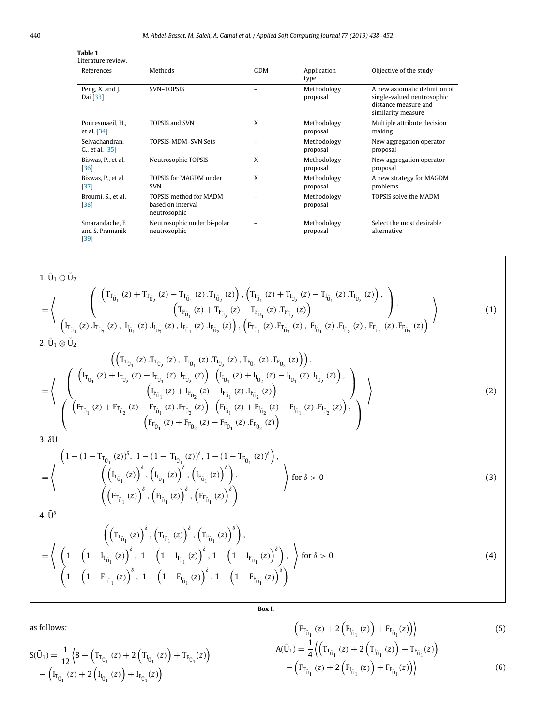<span id="page-2-0"></span>

| Table 1<br>Literature review.                |                                                                    |            |                         |                                                                                                           |
|----------------------------------------------|--------------------------------------------------------------------|------------|-------------------------|-----------------------------------------------------------------------------------------------------------|
| References                                   | Methods                                                            | <b>GDM</b> | Application<br>type     | Objective of the study                                                                                    |
| Peng, X. and J.<br>Dai [33]                  | SVN-TOPSIS                                                         |            | Methodology<br>proposal | A new axiomatic definition of<br>single-valued neutrosophic<br>distance measure and<br>similarity measure |
| Pouresmaeil. H<br>et al. $[34]$              | <b>TOPSIS and SVN</b>                                              | X          | Methodology<br>proposal | Multiple attribute decision<br>making                                                                     |
| Selvachandran.<br>G., et al. [35]            | TOPSIS-MDM-SVN Sets                                                |            | Methodology<br>proposal | New aggregation operator<br>proposal                                                                      |
| Biswas, P., et al.<br>$[36]$                 | Neutrosophic TOPSIS                                                | X          | Methodology<br>proposal | New aggregation operator<br>proposal                                                                      |
| Biswas, P., et al.<br>$[37]$                 | TOPSIS for MAGDM under<br><b>SVN</b>                               | X          | Methodology<br>proposal | A new strategy for MAGDM<br>problems                                                                      |
| Broumi, S., et al.<br>$[38]$                 | <b>TOPSIS method for MADM</b><br>based on interval<br>neutrosophic |            | Methodology<br>proposal | TOPSIS solve the MADM                                                                                     |
| Smarandache, F.<br>and S. Pramanik<br>$[39]$ | Neutrosophic under bi-polar<br>neutrosophic                        |            | Methodology<br>proposal | Select the most desirable<br>alternative                                                                  |

 $1.\,\tilde{U}_1 \oplus \tilde{U}_2$ 

$$
= \left\langle \begin{array}{c} \left( \left( T_{T_{\tilde{U}_{1}}}\left(z\right) + T_{T_{\tilde{U}_{2}}}\left(z\right) - T_{T_{\tilde{U}_{1}}}\left(z\right) . T_{T_{\tilde{U}_{2}}}\left(z\right) \right) , \left( T_{I_{\tilde{U}_{1}}}\left(z\right) + T_{I_{\tilde{U}_{2}}}\left(z\right) - T_{I_{\tilde{U}_{1}}}\left(z\right) . T_{I_{\tilde{U}_{2}}}\left(z\right) \right) , \\ \left( T_{F_{\tilde{U}_{1}}}\left(z\right) + T_{F_{\tilde{U}_{2}}}\left(z\right) - T_{F_{\tilde{U}_{1}}}\left(z\right) . T_{F_{\tilde{U}_{2}}}\left(z\right) \right) \right. \\ \left. \left. \left( I_{T_{\tilde{U}_{1}}}\left(z\right) . I_{T_{\tilde{U}_{2}}}\left(z\right) , \ I_{I_{\tilde{U}_{1}}}\left(z\right) . I_{I_{\tilde{U}_{2}}}\left(z\right) , I_{F_{\tilde{U}_{1}}}\left(z\right) . I_{F_{\tilde{U}_{2}}}\left(z\right) \right) , \left( F_{T_{\tilde{U}_{1}}}\left(z\right) . F_{T_{\tilde{U}_{2}}}\left(z\right) , F_{I_{\tilde{U}_{1}}}\left(z\right) . F_{I_{\tilde{U}_{2}}}\left(z\right) \right) \right\rangle \right\rangle \tag{1}
$$

$$
\begin{pmatrix}\n\left(\left(T_{T_{\tilde{U}_{1}}}(z), T_{T_{\tilde{U}_{2}}}(z), T_{I_{\tilde{U}_{1}}}(z), T_{F_{\tilde{U}_{1}}}(z), T_{F_{\tilde{U}_{2}}}(z)\right)\right), \\
=\n\left\{\n\left(\n\begin{pmatrix}\n\left(I_{T_{\tilde{U}_{1}}}(z) + I_{T_{\tilde{U}_{2}}}(z) - I_{T_{\tilde{U}_{1}}}(z), I_{T_{\tilde{U}_{2}}}(z)\right), \left(I_{I_{\tilde{U}_{1}}}(z) + I_{I_{\tilde{U}_{2}}}(z) - I_{I_{\tilde{U}_{1}}}(z), I_{I_{\tilde{U}_{2}}}(z)\right), \\
\left(I_{F_{\tilde{U}_{1}}}(z) + F_{F_{\tilde{U}_{2}}}(z) - I_{F_{\tilde{U}_{1}}}(z), I_{F_{\tilde{U}_{2}}}(z)\right)\n\end{pmatrix}\n\right\}\n\right\}
$$
\n
$$
\frac{1}{3. \delta\tilde{U}}
$$
\n
$$
\begin{pmatrix}\n\left(F_{T_{\tilde{U}_{1}}}(z) + F_{T_{\tilde{U}_{2}}}(z) - F_{T_{\tilde{U}_{1}}}(z), F_{T_{\tilde{U}_{2}}}(z)\right), \left(F_{I_{\tilde{U}_{1}}}(z) + F_{I_{\tilde{U}_{2}}}(z) - F_{I_{\tilde{U}_{1}}}(z), F_{I_{\tilde{U}_{2}}}(z)\right), \\
\left(F_{F_{\tilde{U}_{1}}}(z) + F_{F_{\tilde{U}_{2}}}(z) - F_{F_{\tilde{U}_{1}}}(z), F_{F_{\tilde{U}_{2}}}(z)\right)\n\end{pmatrix}
$$
\n
$$
(2)
$$

$$
= \left\langle \begin{array}{c} \left(1 - (1 - T_{T_{\tilde{U}_{1}}} (z))^{\delta}, \ 1 - (1 - T_{I_{\tilde{U}_{1}}} (z))^{\delta}, \ 1 - (1 - T_{F_{\tilde{U}_{1}}} (z))^{\delta}\right), \\ \left(\left(I_{T_{\tilde{U}_{1}}} (z)\right)^{\delta}, \left(I_{I_{\tilde{U}_{1}}} (z)\right)^{\delta}, \left(I_{F_{\tilde{U}_{1}}} (z)\right)^{\delta}\right), \\ \left(\left(F_{T_{\tilde{U}_{1}}} (z)\right)^{\delta}, \left(F_{I_{\tilde{U}_{1}}} (z)\right)^{\delta}, \left(F_{F_{\tilde{U}_{1}}} (z)\right)^{\delta}\right) \end{array} \right\rangle \text{ for } \delta > 0
$$
\n
$$
(3)
$$

4.  $\tilde{U}^{\delta}$ 

$$
\left(\left(T_{T_{\tilde{U}_{1}}}(z)\right)^{\delta}, \left(T_{I_{\tilde{U}_{1}}}(z)\right)^{\delta}, \left(T_{F_{\tilde{U}_{1}}}(z)\right)^{\delta}\right),\newline = \left\langle \left(1 - \left(1 - I_{T_{\tilde{U}_{1}}}(z)\right)^{\delta}, 1 - \left(1 - I_{I_{\tilde{U}_{1}}}(z)\right)^{\delta}, 1 - \left(1 - I_{F_{\tilde{U}_{1}}}(z)\right)^{\delta}\right), \right\rangle \text{ for } \delta > 0 \newline \left(1 - \left(1 - F_{T_{\tilde{U}_{1}}}(z)\right)^{\delta}, 1 - \left(1 - F_{I_{\tilde{U}_{1}}}(z)\right)^{\delta}, 1 - \left(1 - F_{F_{\tilde{U}_{1}}}(z)\right)^{\delta}\right) \right\rangle
$$
\n(4)

<span id="page-2-2"></span><span id="page-2-1"></span>**Box I.**

<span id="page-2-3"></span>as follows:

 $S(\tilde{U}_1) = \frac{1}{15}$ 

12

 $-\left(I_{T_{\tilde{U}_1}}(z) + 2\left(I_{I_{\tilde{U}_1}}(z)\right) + I_{F_{\tilde{U}_1}}(z)\right)$ 

 $\left(8 + \left(T_{T_{\tilde{U}_1}}(z) + 2\left(T_{I_{\tilde{U}_1}}(z)\right) + T_{F_{\tilde{U}_1}}(z)\right)\right)$ 

<span id="page-2-5"></span><span id="page-2-4"></span>
$$
-\left(F_{T_{\tilde{U}_1}}(z) + 2\left(F_{I_{\tilde{U}_1}}(z)\right) + F_{F_{\tilde{U}_1}}(z)\right) \tag{5}
$$
  

$$
A(\tilde{U}_1) = \frac{1}{4} \left\langle \left(T_{T_{\tilde{U}_1}}(z) + 2\left(T_{I_{\tilde{U}_1}}(z)\right) + T_{F_{\tilde{U}_1}}(z)\right) - \left(F_{T_{\tilde{U}_1}}(z) + 2\left(F_{I_{\tilde{U}_1}}(z)\right) + F_{F_{\tilde{U}_1}}(z)\right) \right\rangle
$$
 (6)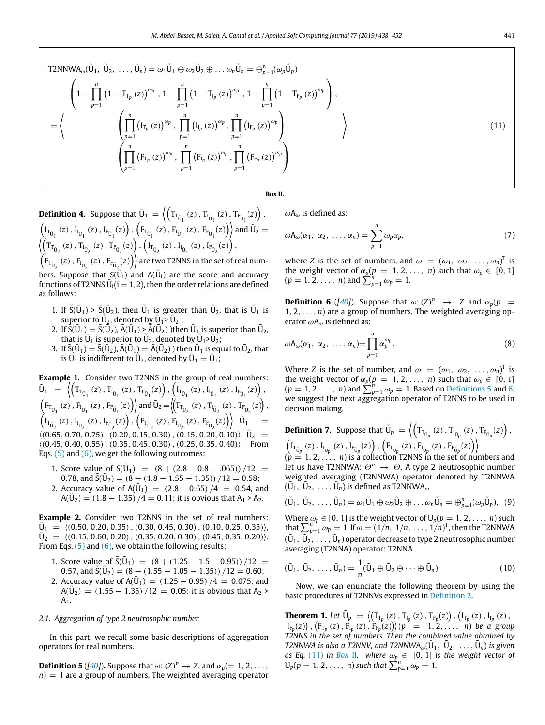T2NNWA<sub>ω</sub>(
$$
\tilde{U}_1
$$
,  $\tilde{U}_2$ , ...,  $\tilde{U}_n$ ) = ω<sub>1</sub> $\tilde{U}_1 \oplus \omega_2 \tilde{U}_2 \oplus ... \omega_n \tilde{U}_n$  =  $\bigoplus_{p=1}^n (\omega_p \tilde{U}_p)$   
\n
$$
\left(1 - \prod_{p=1}^n (1 - T_{T_p}(z))^{\omega_p}, 1 - \prod_{p=1}^n (1 - T_{I_p}(z))^{\omega_p}, 1 - \prod_{p=1}^n (1 - T_{F_p}(z))^{\omega_p}\right),
$$
\n=  
\n
$$
\left\langle \prod_{p=1}^n (I_{T_p}(z))^{\omega_p}, \prod_{p=1}^n (I_{I_p}(z))^{\omega_p}, \prod_{p=1}^n (I_{F_p}(z))^{\omega_p}\right),
$$
\n
$$
\left(\prod_{p=1}^n (F_{T_p}(z))^{\omega_p}, \prod_{p=1}^n (F_{I_p}(z))^{\omega_p}, \prod_{p=1}^n (F_{F_p}(z))^{\omega_p}\right)
$$
\n(11)

**Box II.**

<span id="page-3-3"></span>**Definition 4.** Suppose that 
$$
\tilde{U}_1 = \left\langle \left( T_{T_{\tilde{U}_1}}(z), T_{I_{\tilde{U}_1}}(z), T_{F_{\tilde{U}_1}}(z) \right), \left( F_{T_{\tilde{U}_1}}(z), F_{F_{\tilde{U}_1}}(z), F_{F_{\tilde{U}_1}}(z) \right) \right\rangle
$$
 and  $\tilde{U}_2 = \left\langle \left( T_{T_{\tilde{U}_2}}(z), T_{I_{\tilde{U}_2}}(z), T_{F_{\tilde{U}_2}}(z) \right), \left( F_{T_{\tilde{U}_2}}(z), F_{F_{\tilde{U}_2}}(z), F_{F_{\tilde{U}_2}}(z) \right) \right\rangle$  and  $\tilde{U}_2 = \left\langle \left( T_{T_{\tilde{U}_2}}(z), T_{I_{\tilde{U}_2}}(z), T_{F_{\tilde{U}_2}}(z) \right), \left( F_{T_{\tilde{U}_2}}(z), I_{I_{\tilde{U}_2}}(z), F_{F_{\tilde{U}_2}}(z) \right) \right\rangle$  are two T2NNS in the set of real numbers. Suppose that  $S(\tilde{U}_i)$  and  $A(\tilde{U}_i)$  are the score and accuracy functions of T2NNS  $\tilde{U}_i(i = 1, 2)$ , then the order relations are defined as follows:

- 1. If  $\tilde{S}(\tilde{U}_1) > \tilde{S}(\tilde{U}_2)$ , then  $\tilde{U}_1$  is greater than  $\tilde{U}_2$ , that is  $\tilde{U}_1$  is superior to  $\tilde{U}_2$ , denoted by  $\tilde{U}_1$ > $\tilde{U}_2$ ;
- 2. If  $\hat{\tilde{S}}(\tilde{U}_1)=\tilde{S}(\tilde{\tilde{U}}_2)$ ,  $\tilde{A}(\tilde{U}_1)>\tilde{A}(\tilde{U}_2)$  )then  $\tilde{U}_1$  is superior than  $\tilde{U}_2$ , that is  $\tilde{U}_1$  is superior to  $\tilde{U}_2$ , denoted by  $\tilde{U}_1$  > $\tilde{U}_2$ ;
- 3. If  $\tilde{S}(\tilde{U}_1) = \tilde{S}(\tilde{U}_2)$ ,  $\tilde{A}(\tilde{U}_1) = \tilde{A}(\tilde{U}_2)$  ) then  $\tilde{U}_1$  is equal to  $\tilde{U}_2$ , that is  $\tilde{U}_1$  is indifferent to  $\tilde{U}_2$ , denoted by  $\tilde{U}_1 = \tilde{U}_2$ ;

**Example 1.** Consider two T2NNS in the group of real numbers:  $\tilde{U}_1 = \left\langle \left( T_{T_{\tilde{U}_1}}(z), T_{I_{\tilde{U}_1}}(z), T_{F_{\tilde{U}_1}}(z) \right), \left( I_{T_{\tilde{U}_1}}(z), I_{I_{\tilde{U}_1}}(z), I_{F_{\tilde{U}_1}}(z) \right) \right\rangle,$  $\left(F_{T_{\tilde{U}_1}}(z), F_{I_{\tilde{U}_1}}(z), F_{F_{\tilde{U}_1}}(z)\right)$  and  $\tilde{U}_2 = \left(\left(T_{T_{\tilde{U}_2}}(z), T_{I_{\tilde{U}_2}}(z), T_{F_{\tilde{U}_2}}(z)\right),$  $\left(I_{T_{\tilde{U}_2}}(z), I_{I_{\tilde{U}_2}}(z), I_{F_{\tilde{U}_2}}(z)\right), \left(F_{T_{\tilde{U}_2}}(z), F_{I_{\tilde{U}_2}}(z), F_{F_{\tilde{U}_2}}(z)\right) \right) \tilde{U}_1 =$  $\langle (0.65, 0.70, 0.75), (0.20, 0.15, 0.30), (0.15, 0.20, 0.10) \rangle, \tilde{U}_2 =$  $(0.45, 0.40, 0.55), (0.35, 0.45, 0.30), (0.25, 0.35, 0.40)$ . From Eqs.  $(5)$  $(5)$  and  $(6)$ , we get the following outcomes:

- 1. Score value of  $\tilde{S}(\tilde{U}_1) = (8 + (2.8 0.8 .065))/12 =$ 0.78, and  $\tilde{S}(\tilde{U}_2) = (8 + (1.8 - 1.55 - 1.35))$  /12 = 0.58;
- 2. Accuracy value of  $A(\tilde{U}_1) = (2.8 0.65)/4 = 0.54$ , and  $A(\tilde{U}_2) = (1.8 - 1.35) / 4 = 0.11$ ; it is obvious that  $A_1 > A_2$ .

**Example 2.** Consider two T2NNS in the set of real numbers:  $\tilde{U}_1 = \langle (0.50, 0.20, 0.35), (0.30, 0.45, 0.30), (0.10, 0.25, 0.35) \rangle$  $\widetilde{U}_2 = \langle (0.15, 0.60, 0.20), (0.35, 0.20, 0.30), (0.45, 0.35, 0.20) \rangle$ . From Eqs.  $(5)$  $(5)$  and  $(6)$  $(6)$ , we obtain the following results:

- 1. Score value of  $\tilde{S}(\tilde{U}_1) = (8 + (1.25 1.5 0.95))/12 =$ 0.57, and  $\tilde{S}(\tilde{U}_2) = (8 + (1.55 - 1.05 - 1.35))/12 = 0.60;$
- 2. Accuracy value of  $A(\tilde{U}_1) = (1.25 0.95)/4 = 0.075$ , and  $A(\tilde{U}_2) = (1.55 - 1.35)/12 = 0.05$ ; it is obvious that  $A_2$  >  $A_1$ .

### *2.1. Aggregation of type 2 neutrosophic number*

In this part, we recall some basic descriptions of aggregation operators for real numbers.

<span id="page-3-0"></span>**Definition 5** ([\[40](#page-14-33)]). Suppose that  $\omega$ : (*Z*)<sup>*n*</sup>  $\rightarrow$  *Z*, and  $\alpha_p (= 1, 2, \ldots,$  $n$ ) = 1 are a group of numbers. The weighted averaging operator <span id="page-3-2"></span> $ω$ A<sub>ω</sub> is defined as:

$$
\omega A_{\omega}(\alpha_1, \alpha_2, \ldots, \alpha_n) = \sum_{p=1}^n \omega_p \alpha_p, \qquad (7)
$$

where *Z* is the set of numbers, and  $\omega = (\omega_1, \omega_2, \ldots, \omega_n)^T$  is the weight vector of  $\alpha_p$ ( $p = 1, 2, ..., n$ ) such that  $\omega_p \in [0, 1]$  $(p = 1, 2, \ldots, n)$  and  $\sum_{p=1}^{n} \omega_p = 1$ .

<span id="page-3-1"></span>**Definition 6** ([[40\]](#page-14-33)). Suppose that  $\omega$ : (*Z*)<sup>*n*</sup>  $\rightarrow$  *Z* and  $\alpha_p(p)$  =  $1, 2, \ldots, n$  are a group of numbers. The weighted averaging operator  $\omega A_{\omega}$  is defined as:

$$
\omega A_{\omega}(\alpha_1, \alpha_2, \ldots, \alpha_n) = \prod_{p=1}^n \alpha_p^{\omega_p}, \qquad (8)
$$

Where *Z* is the set of number, and  $\omega = (\omega_1, \omega_2, \ldots, \omega_n)^T$  is the weight vector of  $\alpha_p$ ( $p = 1, 2, ..., n$ ) such that  $\omega_p \in [0, 1]$  $(p = 1, 2, \ldots, n)$  and  $\sum_{p=1}^{n} \omega_p = 1$ . Based on [Definitions](#page-3-0) [5](#page-3-0) and [6,](#page-3-1) we suggest the next aggregation operator of T2NNS to be used in decision making.

**Definition 7.** Suppose that 
$$
\tilde{U}_p = \left\langle \left( T_{T_{\tilde{U}_p}}(z), T_{I_{\tilde{U}_p}}(z), T_{F_{\tilde{U}_p}}(z) \right), \left( F_{T_{\tilde{U}_p}}(z), I_{F_{\tilde{U}_p}}(z) \right), \left( F_{T_{\tilde{U}_p}}(z), F_{I_{\tilde{U}_p}}(z), F_{F_{\tilde{U}_p}}(z) \right) \right\rangle
$$
  
\n( $p = 1, 2, ..., n$ ) is a collection T2NNS in the set of numbers and

let us have T2NNWA: Θ*<sup>n</sup>* → Θ. A type 2 neutrosophic number weighted averaging (T2NNWA) operator denoted by T2NNWA  $(\tilde{U}_1, \tilde{U}_2, \ldots, \tilde{U}_n)$  is defined as T2NNWA<sub> $\omega$ </sub>

$$
(\tilde{U}_1, \ \tilde{U}_2, \ \ldots, \tilde{U}_n) = \omega_1 \tilde{U}_1 \oplus \omega_2 \tilde{U}_2 \oplus \ldots \omega_n \tilde{U}_n = \oplus_{p=1}^n (\omega_p \tilde{U}_p), \ \ (9)
$$

Where  $\omega_p \in [0, 1]$  is the weight vector of  $U_p(p = 1, 2, \ldots, n)$  such that  $\sum_{p=1}^{n} \omega_p = 1$ . If  $\omega = (1/n, 1/n, \ldots, 1/n)^T$ , then the T2NNWA  $(\widetilde{U}_1, \widetilde{U}_2, \ldots, \widetilde{U}_n)$  operator decrease to type 2 neutrosophic number averaging (T2NNA) operator: T2NNA

$$
(\tilde{\mathsf{U}}_1, \, \tilde{\mathsf{U}}_2, \, \ldots, \tilde{\mathsf{U}}_n) = \frac{1}{n} (\tilde{\mathsf{U}}_1 \oplus \tilde{\mathsf{U}}_2 \oplus \cdots \oplus \tilde{\mathsf{U}}_n) \tag{10}
$$

Now, we can enunciate the following theorem by using the basic procedures of T2NNVs expressed in [Definition](#page-1-1) [2](#page-1-1).

<span id="page-3-4"></span>**Theorem 1.** Let  $\tilde{U}_p = \{(T_{T_p}(z), T_{I_p}(z), T_{F_p}(z)), (I_{T_p}(z), I_{I_p}(z), I_{I_p}(z)\}$  $\text{Tr}_p(z)$ ),  $\left(\text{Fr}_p(z), \text{Fr}_p(z), \text{Fr}_p(z)\right)$  $\left(p = 1, 2, ..., n\right)$  *be a group T2NNS in the set of numbers. Then the combined value obtained by T2NNWA is also a T2NNV, and T2NNWA*<sub> $\omega$ </sub>( $\tilde{U}_1$ ,  $\tilde{U}_2$ , ...,  $\tilde{U}_n$ ) *is given as Eq.* ([11](#page-3-2)) *in [Box](#page-3-3) [II](#page-3-3), where*  $\omega_p \in [0, 1]$  *is the weight vector of*  $U_p(p = 1, 2, ..., n)$  *such that*  $\sum_{p=1}^{n} \omega_p = 1$ *.*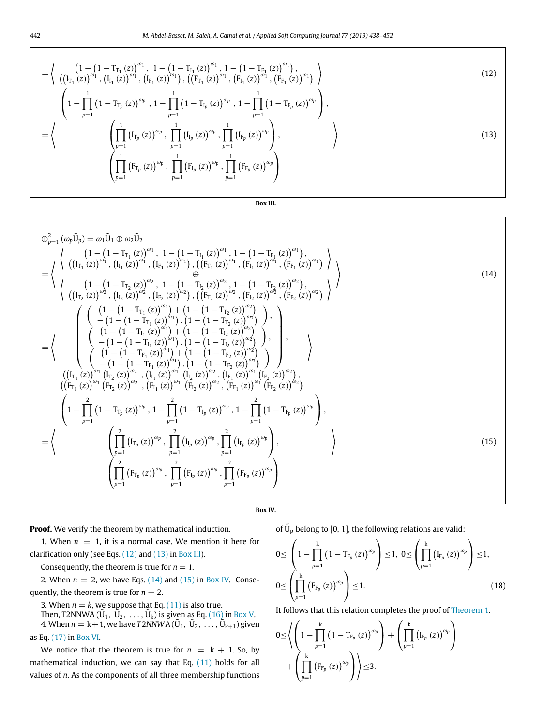$$
= \left\{ \begin{array}{c} \left(1 - \left(1 - T_{\Gamma_1}(z)\right)^{\omega_1}, 1 - \left(1 - T_{\Gamma_1}(z)\right)^{\omega_1}, 1 - \left(1 - T_{F_1}(z)\right)^{\omega_1}\right), \\ \left(\left(I_{\Gamma_1}(z)\right)^{\omega_1}, \left(I_{I_1}(z)\right)^{\omega_1}, \left(I_{F_1}(z)\right)^{\omega_1}\right), \left(\left(F_{\Gamma_1}(z)\right)^{\omega_1}, \left(F_{I_1}(z)\right)^{\omega_1}, \left(F_{F_1}(z)\right)^{\omega_1}\right) \end{array} \right\}
$$
(12)

$$
\left(1-\prod_{p=1}^{1}\left(1-{\rm T}_{\Gamma_{\!p}}\left(z\right)\right)^{\omega_{p}}\,,\,1-\prod_{p=1}^{1}\left(1-{\rm T}_{\Gamma_{\!p}}\left(z\right)\right)^{\omega_{p}}\,,\,1-\prod_{p=1}^{1}\left(1-{\rm T}_{\Gamma_{\!p}}\left(z\right)\right)^{\omega_{p}}\right),
$$

$$
= \left\langle \left( \prod_{p=1}^{1} \left( I_{T_p} (z) \right)^{\omega_p}, \prod_{p=1}^{1} \left( I_{I_p} (z) \right)^{\omega_p}, \prod_{p=1}^{1} \left( I_{F_p} (z) \right)^{\omega_p} \right), \right\}
$$
\n
$$
\left( \prod_{p=1}^{1} \left( F_{T_p} (z) \right)^{\omega_p}, \prod_{p=1}^{1} \left( F_{I_p} (z) \right)^{\omega_p}, \prod_{p=1}^{1} \left( F_{F_p} (z) \right)^{\omega_p} \right)
$$
\n(13)

<span id="page-4-3"></span><span id="page-4-1"></span><span id="page-4-0"></span>**Box III.**

<span id="page-4-2"></span>
$$
\begin{split}\n\oplus_{p=1}^{2} (\omega_{p} \tilde{U}_{p}) &= \omega_{1} \tilde{U}_{1} \oplus \omega_{2} \tilde{U}_{2} \\
&= \left\{ \begin{array}{l} \left( (I_{T_{1}}(z))^{o_{1}}, \, (I_{T_{1}}(z))^{o_{2}}, \, (I_{F_{1}}(z))^{o_{1}}, \, (I_{F_{1}}(z))^{o_{1}}, \, (I_{F_{1}}(z))^{o_{1}}, \, (I_{F_{1}}(z))^{o_{1}} \right) \\ \left( (I_{T_{2}}(z))^{o_{2}}, \, (I_{T_{2}}(z))^{o_{2}}, \, (I_{T_{2}}(z))^{o_{2}}, \, (I_{T_{2}}(z))^{o_{2}}, \, (I_{T_{2}}(z))^{o_{2}}, \, (I_{F_{2}}(z))^{o_{2}} \right) \end{array} \right\} \\
\begin{array}{l} \left( (I_{T_{1}}(z))^{o_{1}}, \, (I_{T_{1}}(z))^{o_{2}}, \, (I_{T_{2}}(z))^{o_{2}}, \, (I_{T_{2}}(z))^{o_{2}}, \, (I_{T_{2}}(z))^{o_{2}}, \, (I_{T_{2}}(z))^{o_{2}} \right) \end{array} \right\}\n\end{split}
$$
\n
$$
\begin{array}{l} \left( (I_{T_{1}}(z))^{o_{1}}, \, (I_{T_{2}}(z))^{o_{2}}, \, (I_{T_{2}}(z))^{o_{2}}, \, (I_{T_{2}}(z))^{o_{2}}, \, (I_{T_{2}}(z))^{o_{2}} \right) \right\} \\
&= \left\{ \begin{array}{l} \left( (I_{-}(I - T_{T_{1}}(z))^{o_{1}}) \cdot (1 - (I - T_{T_{2}}(z))^{o_{2}}) \right) \\ \left( (I_{-}(I - T_{T_{1}}(z))^{o_{1}}) \cdot (1 - (I - T_{T_{2}}(z))^{o_{2}}) \right) \\ \left( (I_{-}(I - T_{T_{1}}(z))^{o_{1}}) \cdot (1 - (I - T_{T_{2}}(z))^{o_{2}}) \right) \cdot (I_{T_{1}}(z) \right) \end{array} \right\} \\
\left( (I_{T_{1}}(z))^{o_{1}}(I_{T_{2}}(z))
$$

## **Box IV.**

<span id="page-4-5"></span>**Proof.** We verify the theorem by mathematical induction.

1. When  $n = 1$ , it is a normal case. We mention it here for clarification only (see Eqs. ([12\)](#page-4-0) and [\(13\)](#page-4-1) in [Box](#page-4-2) [III](#page-4-2)).

Consequently, the theorem is true for  $n = 1$ .

2. When  $n = 2$ , we have Eqs.  $(14)$  $(14)$  $(14)$  and  $(15)$  in [Box](#page-4-5) [IV](#page-4-5). Consequently, the theorem is true for  $n = 2$ .

3. When  $n = k$ , we suppose that Eq. [\(11\)](#page-3-2) is also true.

Then, T2NNWA ( $\tilde{U}_1, \ \tilde{\tilde{U}}_2, \ \ldots, \tilde{U}_k$ ) is given as Eq. [\(16\)](#page-5-0) in [Box](#page-5-1) [V.](#page-5-1) 4. When  $n = k+1$ , we have  $T2NNWA(\tilde{U}_1, \tilde{U}_2, \ldots, \tilde{U}_{k+1})$  given as Eq. [\(17\)](#page-5-2) in [Box](#page-5-3) [VI](#page-5-3).

We notice that the theorem is true for  $n = k + 1$ . So, by mathematical induction, we can say that Eq. ([11](#page-3-2)) holds for all values of *n*. As the components of all three membership functions <span id="page-4-4"></span>of  $\tilde{U}_p$  belong to [0, 1], the following relations are valid:

$$
0 \leq \left(1 - \prod_{p=1}^{k} (1 - T_{F_p} (z))^{\omega_p} \right) \leq 1, \ 0 \leq \left(\prod_{p=1}^{k} (I_{F_p} (z))^{\omega_p} \right) \leq 1, \ 0 \leq \left(\prod_{p=1}^{k} (F_{F_p} (z))^{\omega_p} \right) \leq 1.
$$
\n(18)

It follows that this relation completes the proof of [Theorem](#page-3-4) [1](#page-3-4).

$$
\begin{aligned}0\!\le\!\left\langle\left(1-\prod_{p=1}^{k}\left(1-T_{F_p}\left(z\right)\right)^{\omega_p}\right)+\left(\prod_{p=1}^{k}\left(I_{F_p}\left(z\right)\right)^{\omega_p}\right)\right.\\+\left.\left(\prod_{p=1}^{k}\left(F_{F_p}\left(z\right)\right)^{\omega_p}\right)\right\rangle\!\le\!3.\end{aligned}
$$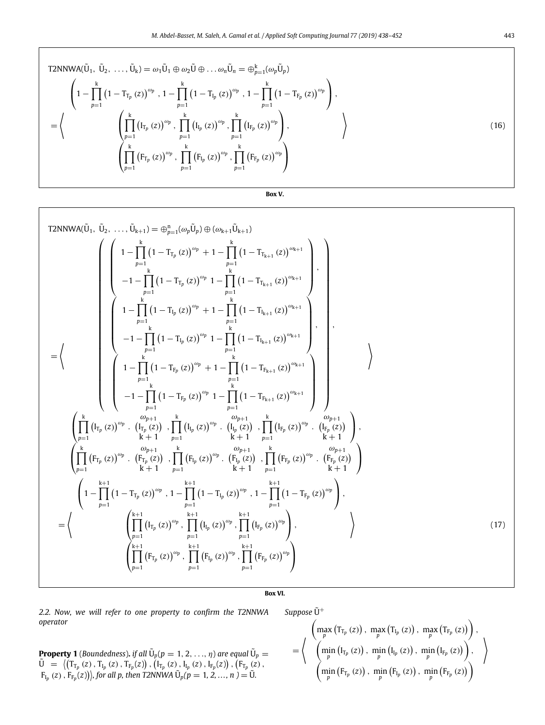T2NNWA(
$$
\tilde{U}_1, \tilde{U}_2, ..., \tilde{U}_k
$$
) =  $\omega_1 \tilde{U}_1 \oplus \omega_2 \tilde{U} \oplus ... \omega_n \tilde{U}_n = \bigoplus_{p=1}^k (\omega_p \tilde{U}_p)$   
\n
$$
\left(1 - \prod_{p=1}^k (1 - T_{T_p}(z))^{\omega_p}, 1 - \prod_{p=1}^k (1 - T_{T_p}(z))^{\omega_p}, 1 - \prod_{p=1}^k (1 - T_{F_p}(z))^{\omega_p}\right),
$$
\n
$$
= \left\langle \left(\prod_{p=1}^k (I_{T_p}(z))^{\omega_p}, \prod_{p=1}^k (I_{T_p}(z))^{\omega_p}, \prod_{p=1}^k (I_{F_p}(z))^{\omega_p}\right), \right\rangle
$$
\n
$$
\left(\prod_{p=1}^k (F_{T_p}(z))^{\omega_p}, \prod_{p=1}^k (F_{T_p}(z))^{\omega_p}, \prod_{p=1}^k (F_{F_p}(z))^{\omega_p}\right)
$$
\n(16)

<span id="page-5-0"></span>**Box V.**

<span id="page-5-1"></span>T2NNWA(Ü<sub>1</sub>, Ú<sub>2</sub>, ..., Ú<sub>k+1</sub>) = 
$$
\bigoplus_{p=1}^{n} (\omega_p \tilde{U}_p) \oplus (\omega_{k+1} \tilde{U}_{k+1})
$$
  
\n
$$
\begin{pmatrix}\n1 - \prod_{p=1}^{k} (1 - T_{T_p}(z))^{\omega_p} + 1 - \prod_{p=1}^{k} (1 - T_{T_{k+1}}(z))^{\omega_{k+1}} \\
-1 - \prod_{p=1}^{k} (1 - T_{T_p}(z))^{\omega_p} + 1 - \prod_{p=1}^{k} (1 - T_{T_{k+1}}(z))^{\omega_{k+1}} \\
1 - \prod_{p=1}^{k} (1 - T_{T_p}(z))^{\omega_p} + 1 - \prod_{p=1}^{k} (1 - T_{T_{k+1}}(z))^{\omega_{k+1}} \\
-1 - \prod_{p=1}^{k} (1 - T_{T_p}(z))^{\omega_p} + 1 - \prod_{p=1}^{k} (1 - T_{T_{k+1}}(z))^{\omega_{k+1}} \\
-1 - \prod_{p=1}^{k} (1 - T_{T_p}(z))^{\omega_p} + 1 - \prod_{p=1}^{k} (1 - T_{F_{k+1}}(z))^{\omega_{k+1}} \\
-1 - \prod_{p=1}^{k} (1 - T_{T_p}(z))^{\omega_p} + 1 - \prod_{p=1}^{k} (1 - T_{F_{k+1}}(z))^{\omega_{k+1}} \\
\prod_{p=1}^{k} (T_{T_p}(z))^{\omega_p} \cdot \left(\prod_{p=1}^{k} (T_{T_p}(z))^{\omega_p} \cdot \prod_{p=1}^{k} (T_{T_p}(z))^{\omega_p} \cdot \prod_{p=1}^{k} (T_{F_p}(z))^{\omega_p} \cdot \left(\prod_{p=1}^{k} (T_{p,p}(z))^{\omega_p}\right)\right),\n\tag{b)}\n\end{pmatrix}
$$
\n
$$
= \left\{\n\begin{pmatrix}\n\frac{k}{k} \\
\frac{k}{k+1} \\
\frac{k}{k+1} \\
\frac{k}{k+1} \\
\frac{k}{k+1} \\
\frac{k}{k+1} \\
\frac{k}{k+1} \\
\frac{k}{k+1} \\
\frac{k}{k+1} \\
\frac{k}{k+1} \\
\frac{k}{k+1} \\
\frac{k}{k+1} \\
\frac{k}{k+1} \\
\frac{k}{k+1} \\
\frac{k}{k
$$

# **Box VI.**

<span id="page-5-3"></span>*2.2. Now, we will refer to one property to confirm the T2NNWA operator*

 $Suppose \tilde{U}^+$ 

**Property 1** (Boundedness). if all  $\tilde{U}_p(p=1,2,...,\eta)$  are equal  $\tilde{U}_p=0$  $\tilde{U} = \left( (T_{T_p}(z), T_{I_p}(z), T_{F_p}(z)), (I_{T_p}(z), I_{I_p}(z), I_{F_p}(z)), (F_{T_p}(z),$  $(F_{I_p}(z), F_{F_p}(z))$ , for all p, then T2NNWA  $\tilde{U}_p(p = 1, 2, ..., n) = \tilde{U}$ .

<span id="page-5-2"></span>
$$
= \left\langle \begin{array}{c} \left(\max _{p}\left(T_{T_{p}}\left(z\right)\right),\;\max _{p}\left(T_{I_{p}}\left(z\right)\right),\;\max _{p}\left(T_{F_{p}}\left(z\right)\right)\right), \\ \left(\min _{p}\left(I_{T_{p}}\left(z\right)\right),\;\min _{p}\left(I_{I_{p}}\left(z\right)\right),\;\min _{p}\left(I_{F_{p}}\left(z\right)\right)\right), \\ \left(\min _{p}\left(F_{T_{p}}\left(z\right)\right),\;\min _{p}\left(F_{I_{p}}\left(z\right)\right),\;\min _{p}\left(F_{F_{p}}\left(z\right)\right)\right)\end{array}\right\rangle
$$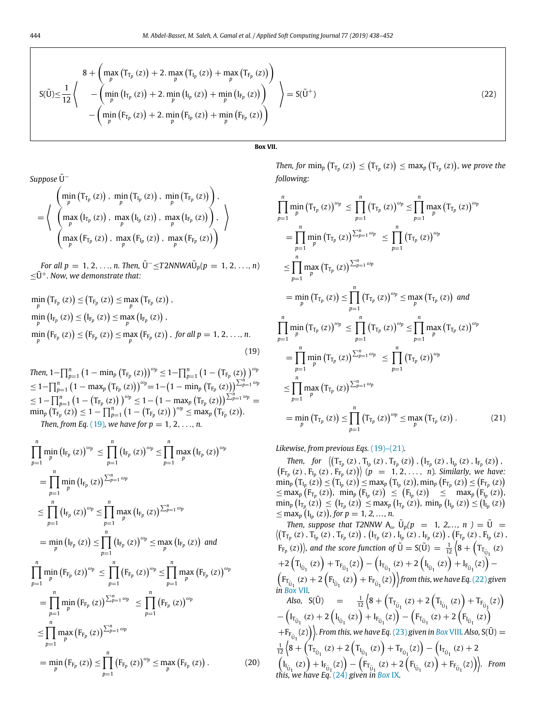$$
S(\tilde{U}) \leq \frac{1}{12} \left\{ \begin{array}{c} 8 + \left( \max_{p} \left( T_{T_{p}}(z) \right) + 2 \cdot \max_{p} \left( T_{I_{p}}(z) \right) + \max_{p} \left( T_{F_{p}}(z) \right) \right) \\ - \left( \min_{p} \left( I_{T_{p}}(z) \right) + 2 \cdot \min_{p} \left( I_{I_{p}}(z) \right) + \min_{p} \left( I_{F_{p}}(z) \right) \right) \\ - \left( \min_{p} \left( F_{T_{p}}(z) \right) + 2 \cdot \min_{p} \left( F_{I_{p}}(z) \right) + \min_{p} \left( F_{F_{p}}(z) \right) \right) \end{array} \right\} = S(\tilde{U}^{+})
$$
\n(22)

**Box VII.**

<span id="page-6-3"></span>*Suppose*  $\tilde{U}$ <sup>−</sup>

$$
= \left\langle \begin{array}{c} \left(\min _{p}\left(T_{T_{p}}\left(z\right)\right), \; \min _{p}\left(T_{I_{p}}\left(z\right)\right), \; \min _{p}\left(T_{F_{p}}\left(z\right)\right)\right), \\ \left(\max _{p}\left(I_{T_{p}}\left(z\right)\right), \; \max _{p}\left(I_{I_{p}}\left(z\right)\right), \; \max _{p}\left(I_{F_{p}}\left(z\right)\right)\right), \\ \left(\max _{p}\left(F_{T_{p}}\left(z\right)\right), \; \max _{p}\left(F_{I_{p}}\left(z\right)\right), \; \max _{p}\left(F_{F_{p}}\left(z\right)\right)\right)\end{array} \right\rangle
$$

*For all p* = 1, 2, . . ., *n. Then,*  $\tilde{U}^{-}$  $\leq$ T2*NNWA* $\tilde{U}_{p}(p = 1, 2, ..., n)$  $<$ U<sup>+</sup>. Now, we demonstrate that:

$$
\min_{p} (T_{F_p} (z)) \le (T_{F_p} (z)) \le \max_{p} (T_{F_p} (z)),
$$
  
\n
$$
\min_{p} (I_{F_p} (z)) \le (I_{F_p} (z)) \le \max_{p} (I_{F_p} (z)),
$$
  
\n
$$
\min_{p} (F_{F_p} (z)) \le (F_{F_p} (z)) \le \max_{p} (F_{F_p} (z)), \text{ for all } p = 1, 2, ..., n.
$$
  
\n(19)

*Then,* 1– $\prod_{p=1}^{n} (1 - \min_{p} \big( \mathrm{T}_{\mathrm{F}_p} \left( z \right) \big) \big)^{\omega_p} \leq 1 - \prod_{p=1}^{n} \big( 1 - \big( \mathrm{T}_{\mathrm{F}_p} \left( z \right) \big) \big)^{\omega_p}$  $\leq 1 - \prod_{p=1}^{n} \big( 1 - \max_p \big( T_{F_p} \left( z \right) \big) \big)^{\omega_p} = 1 - \big( 1 - \min_p \big( T_{F_p} \left( z \right) \big) \big)^{\sum_{p=1}^{n} \omega_p}$  $\leq 1-\prod_{p=1}^{n}\left(1-\left(\mathrm{T}_{\mathrm{F}_p}\left(z\right)\right)\right)^{\omega_p}\leq 1-\left(1-\max_{p}\left(\mathrm{T}_{\mathrm{F}_p}\left(z\right)\right)\right)^{\sum_{p=1}^{n}\omega_p}=0$  $\min_{p} (\overline{T}_{F_p}(z)) \leq 1 - \prod_{p=1}^{n} (1 - (T_{F_p}(z)))^{\omega_p} \leq \max_{p} (T_{F_p}(z)).$ *Then, from Eq.* ([19](#page-6-0))*, we have for p* = 1, 2, ..., *n.* 

$$
\prod_{p=1}^{n} \min_{p} (I_{F_p}(z))^{\omega_p} \leq \prod_{p=1}^{n} (I_{F_p}(z))^{\omega_p} \leq \prod_{p=1}^{n} \max_{p} (I_{F_p}(z))^{\omega_p} \n= \prod_{p=1}^{n} \min_{p} (I_{F_p}(z))^{\sum_{p=1}^{n} \omega_p} \n\leq \prod_{p=1}^{n} (I_{F_p}(z))^{\omega_p} \leq \prod_{p=1}^{n} \max_{p} (I_{F_p}(z))^{\sum_{p=1}^{n} \omega_p} \n= \min_{p} (I_{F_p}(z)) \leq \prod_{p=1}^{n} (I_{F_p}(z))^{\omega_p} \leq \max_{p} (I_{F_p}(z)) \text{ and } \n\prod_{p=1}^{n} \min_{p} (F_{F_p}(z))^{\omega_p} \leq \prod_{p=1}^{n} (F_{F_p}(z))^{\omega_p} \leq \prod_{p=1}^{n} \max_{p} (F_{F_p}(z))^{\omega_p} \n= \prod_{p=1}^{n} \min_{p} (F_{F_p}(z))^{\sum_{p=1}^{n} \omega_p} \leq \prod_{p=1}^{n} (F_{F_p}(z))^{\omega_p} \n\leq \prod_{p=1}^{n} \max_{p} (F_{F_p}(z))^{\sum_{p=1}^{n} \omega_p} \n= \min_{p} (F_{F_p}(z)) \leq \prod_{p=1}^{n} (F_{F_p}(z))^{\omega_p} \leq \max_{p} (F_{F_p}(z)). \qquad (20)
$$

<span id="page-6-2"></span> $\mathcal{T}$ *Then, for*  $\min_{p} (\mathrm{T}_{\mathrm{T}_p} (z)) \leq (\mathrm{T}_{\mathrm{T}_p} (z)) \leq \max_{p} (\mathrm{T}_{\mathrm{T}_p} (z))$ *, we prove the following:*

$$
\prod_{p=1}^{n} \min_{p} (T_{T_{p}} (z))^{\omega_{p}} \leq \prod_{p=1}^{n} (T_{T_{p}} (z))^{\omega_{p}} \leq \prod_{p=1}^{n} \max_{p} (T_{T_{p}} (z))^{\omega_{p}}
$$
\n
$$
= \prod_{p=1}^{n} \min_{p} (T_{T_{p}} (z))^{\sum_{p=1}^{n} \omega_{p}} \leq \prod_{p=1}^{n} (T_{T_{p}} (z))^{\omega_{p}}
$$
\n
$$
\leq \prod_{p=1}^{n} \max_{p} (T_{T_{p}} (z))^{\sum_{p=1}^{n} \omega_{p}}
$$
\n
$$
= \min_{p} (T_{T_{p}} (z)) \leq \prod_{p=1}^{n} (T_{T_{p}} (z))^{\omega_{p}} \leq \max_{p} (T_{T_{p}} (z)) \text{ and}
$$
\n
$$
\prod_{p=1}^{n} \min_{p} (T_{T_{p}} (z))^{\omega_{p}} \leq \prod_{p=1}^{n} (T_{T_{p}} (z))^{\omega_{p}} \leq \prod_{p=1}^{n} \max_{p} (T_{T_{p}} (z))^{\omega_{p}}
$$
\n
$$
= \prod_{p=1}^{n} \min_{p} (T_{T_{p}} (z))^{\sum_{p=1}^{n} \omega_{p}} \leq \prod_{p=1}^{n} (T_{T_{p}} (z))^{\omega_{p}}
$$
\n
$$
\leq \prod_{p=1}^{n} \max_{p} (T_{T_{p}} (z))^{\sum_{p=1}^{n} \omega_{p}}
$$
\n
$$
= \min_{p} (T_{T_{p}} (z)) \leq \prod_{p=1}^{n} (T_{T_{p}} (z))^{\omega_{p}} \leq \max_{p} (T_{T_{p}} (z)). \qquad (21)
$$

<span id="page-6-1"></span><span id="page-6-0"></span>*Likewise, from previous Eqs.* ([19](#page-6-0))–[\(21\)](#page-6-1)*.*

*Then, for*  $\left( (\Gamma_{\Gamma_p}(z), \Gamma_{\Gamma_p}(z), \Gamma_{\Gamma_p}(z)), (\Gamma_{\Gamma_p}(z), \Gamma_{\Gamma_p}(z), \Gamma_{\Gamma_p}(z)) \right)$  $(F_{T_p}(z), F_{T_p}(z), F_{F_p}(z))$   $(p = 1, 2, ..., n)$ *. Similarly, we have:*  $\min_{p} (\mathsf{T}_{\mathsf{I}_{p}}(z)) \leq (\mathsf{T}_{\mathsf{I}_{p}}(z)) \leq \max_{p} (\mathsf{T}_{\mathsf{I}_{p}}(z)) \text{, } \min_{p} (\mathsf{F}_{\mathsf{T}_{p}}(z)) \leq (\mathsf{F}_{\mathsf{T}_{p}}(z))$  $\leq$  max<sub>p</sub> (F<sub>I<sub>p</sub></sub> (z)), min<sub>p</sub> (F<sub>I<sub>p</sub></sub> (z))  $\leq$  (F<sub>I<sub>p</sub></sub> (z))  $\leq$  max<sub>p</sub> (F<sub>I<sub>p</sub></sub> (z)),  $\min_{p} (\mathbf{I}_{T_p}(z)) \leq (\mathbf{I}_{T_p}(z)) \leq \max_{p} (\mathbf{I}_{T_p}(z)), \min_{p} (\mathbf{I}_{I_p}(z)) \leq (\mathbf{I}_{I_p}(z))$  $\leq$  max<sub>p</sub> (I<sub>Ip</sub> (z)), for  $p = 1, 2, ..., n$ .

*Then, suppose that T2NNW*  $A_{\omega}$   $\tilde{U}_p(p = 1, 2, ..., n) = \tilde{U} =$ <br> $\langle (T_{T_n}(z), T_{I_n}(z), T_{F_n}(z)), (F_{T_n}(z), I_{I_n}(z), T_{I_n}(z), F_{I_n}(z), F_{I_n}(z) \rangle$  $T_{T_p}(z)$ ,  $T_{I_p}(z)$ ,  $T_{F_p}(z)$ ),  $(I_{T_p}(z)$ ,  $I_{I_p}(z)$ ,  $I_{F_p}(z)$ ),  $(F_{T_p}(z)$ ,  $F_{I_p}(z)$ ,  $\overline{F}_{F_p}(z)$ ), and the score function of  $\tilde{U} = S(\tilde{U}) = \frac{1}{12} \left( 8 + \left( T_{T_{\tilde{U}_{1}}}(z) \right) \right)$  $+2\left(T_{I_{\tilde{U}_1}}(z)\right)+T_{F_{\tilde{U}_1}}(z)\right)-\left(I_{T_{\tilde{U}_1}}(z)+2\left(I_{I_{\tilde{U}_1}}(z)\right)+I_{F_{\tilde{U}_1}}(z)\right) \left(F_{T_{\tilde{U}_1}}(z) + 2\left(F_{I_{\tilde{U}_1}}(z)\right) + F_{F_{\tilde{U}_1}}(z)\right)$ *from this, we have Eq.* ([22](#page-6-2)) given *in [Box](#page-6-3)* [VII](#page-6-3)*. Also,* S(Ŭ) =  $\frac{1}{12} \left( 8 + \left( T_{T_{U_1}}(z) + 2 \left( T_{I_{U_1}}(z) \right) + T_{F_{U_1}}(z) \right) \right)$  $-\left(I_{T_{\tilde{U}_1}}(z) + 2\left(I_{I_{\tilde{U}_1}}(z)\right) + I_{F_{\tilde{U}_1}}(z)\right) - \left(F_{T_{\tilde{U}_1}}(z) + 2\left(F_{I_{\tilde{U}_1}}(z)\right)\right)$  $+ F_{F_{\tilde{U}_1}}(z) \Big)$ *. From this, we have Eq.* [\(23](#page-7-0)) given in [Box](#page-7-1) [VIII](#page-7-1). Also, S( $\tilde{U}$ )  $=$  $\frac{1}{12}\left(8+\left(T_{T_{\tilde{U}_1}}(z)+2\left(T_{I_{\tilde{U}_1}}(z)\right)+T_{F_{\tilde{U}_1}}(z)\right)-\left(I_{T_{\tilde{U}_1}}(z)+2\left(T_{I_{\tilde{U}_1}}(z)\right)+T_{\tilde{U}_1}(z)\right)\right)$  $\left(I_{I_{\tilde{U}_1}}(z)\right) + I_{F_{\tilde{U}_1}}(z) - \left(F_{T_{\tilde{U}_1}}(z) + 2\left(F_{I_{\tilde{U}_1}}(z)\right) + F_{F_{\tilde{U}_1}}(z)\right)$ *. From this, we have Eq.* [\(24\)](#page-7-2) *given in [Box](#page-7-3)* [IX](#page-7-3)*.*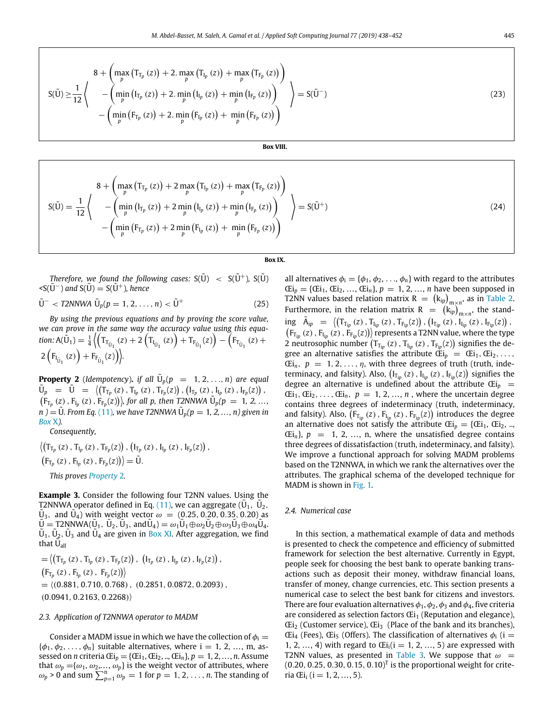$$
S(\tilde{U}) \ge \frac{1}{12} \left\{ \begin{array}{c} 8 + \left( \max_{p} (T_{T_p} (z)) + 2 \cdot \max_{p} (T_{I_p} (z)) + \max_{p} (T_{F_p} (z)) \right) \\ - \left( \min_{p} (I_{T_p} (z)) + 2 \cdot \min_{p} (I_{I_p} (z)) + \min_{p} (I_{F_p} (z)) \right) \\ - \left( \min_{p} (F_{T_p} (z)) + 2 \cdot \min_{p} (F_{I_p} (z)) + \min_{p} (F_{F_p} (z)) \right) \end{array} \right\} = S(\tilde{U}^{-})
$$
(23)

#### <span id="page-7-0"></span>**Box VIII.**

<span id="page-7-1"></span>
$$
S(\tilde{U}) = \frac{1}{12} \left\{ \begin{array}{c} 8 + \left( \max_{p} \left( T_{T_{p}} \left( z \right) \right) + 2 \max_{p} \left( T_{I_{p}} \left( z \right) \right) + \max_{p} \left( T_{F_{p}} \left( z \right) \right) \right) \\ - \left( \min_{p} \left( I_{T_{p}} \left( z \right) \right) + 2 \min_{p} \left( I_{I_{p}} \left( z \right) \right) + \min_{p} \left( I_{F_{p}} \left( z \right) \right) \right) \\ - \left( \min_{p} \left( F_{T_{p}} \left( z \right) \right) + 2 \min_{p} \left( F_{I_{p}} \left( z \right) \right) + \min_{p} \left( F_{F_{p}} \left( z \right) \right) \right) \end{array} \right\} = S(\tilde{U}^{+}) \tag{24}
$$

#### **Box IX.**

<span id="page-7-3"></span>*Therefore, we found the following cases:*  $S(\tilde{U}) < S(\tilde{U}^+)$ ,  $S(\tilde{U})$  $\langle S(\tilde{U}^-)$  and  $S(\tilde{U}) = S(\tilde{U}^+)$ , hence

$$
\tilde{U}^- < T2NNWA \ \tilde{U}_p(p=1,2,\ldots,n) < \tilde{U}^+ \tag{25}
$$

*By using the previous equations and by proving the score value, we can prove in the same way the accuracy value using this equa*tion:  $A(\tilde{U}_1) = \frac{1}{4} \left( T_{T_{\tilde{U}_1}}(z) + 2(T_{I_{\tilde{U}_1}}(z)) + T_{F_{\tilde{U}_1}}(z) \right) - \left( F_{T_{\tilde{U}_1}}(z) + T_{\tilde{U}_1}(z) \right)$  $2\left(F_{I_{\tilde{U}_1}}(z)\right) + F_{F_{\tilde{U}_1}}(z)\right)$ 

<span id="page-7-4"></span>**Property 2** (*Idempotency*). *if all*  $\tilde{U}_p(p = 1, 2, ..., n)$  are equal  $\tilde{U}_p$  =  $\tilde{U}$  =  $\langle (\tilde{T}_{T_p}(z), T_{I_p}(z), T_{F_p}(z)), (\tilde{I}_{T_p}(z), I_{I_p}(z), I_{F_p}(z)),$  $(F_{T_p}(z), F_{I_p}(z), F_{F_p}(z))$ , for all p, then T2NNWA  $\tilde{U}_p(p = 1, 2, ...$ *n*  $) = \tilde{U}$ *. From Eq.* ([11](#page-3-2)), we have T2NNWA  $\tilde{U}_p(p = 1, 2, ..., n)$  given in *[Box](#page-8-0)* [X](#page-8-0)*).*

*Consequently,*

 $\left\langle \left( \mathrm{T}_{\mathrm{T}_p}\left(z\right), \mathrm{T}_{\mathrm{I}_p}\left(z\right), \mathrm{T}_{\mathrm{F}_p}\!\left(z\right) \right), \left( \mathrm{I}_{\mathrm{T}_p}\left(z\right), \mathrm{I}_{\mathrm{I}_p}\left(z\right), \mathrm{I}_{\mathrm{F}_p}\!\left(z\right) \right), \right.$  $\left(F_{T_p}(z), F_{I_p}(z), F_{F_p}(z)\right) = \tilde{U}.$ *This proves [Property](#page-7-4)* [2](#page-7-4)*.*

**Example 3.** Consider the following four T2NN values. Using the T2NNWA operator defined in Eq. [\(11\)](#page-3-2), we can aggregate ( $\tilde{U}_1$ ,  $\tilde{U}_2$ ,  $\tilde{U}_3$ , and  $\tilde{U}_4$ ) with weight vector  $\omega = (0.25, 0.20, 0.35, 0.20)$  as  $\tilde{U} = I2NNWA(\tilde{U}_1, \tilde{U}_2, \tilde{U}_3, \text{ and } \tilde{U}_4) = \omega_1 \tilde{U}_1 \oplus \omega_2 \tilde{U}_2 \oplus \omega_3 \tilde{U}_3 \oplus \omega_4 \tilde{U}_4.$  $\tilde{U}_1$ ,  $\tilde{U}_2$ ,  $\tilde{U}_3$  and  $\tilde{U}_4$  are given in [Box](#page-8-1) [XI.](#page-8-1) After aggregation, we find that  $\tilde{U}_{all}$ 

 $=\left\langle \left(T_{T_p}(z), T_{I_p}(z), T_{F_p}(z)\right), \left(I_{T_p}(z), I_{I_p}(z), I_{F_p}(z)\right)\right\rangle,$  $(F_{T_p}(z), F_{I_p}(z), F_{F_p}(z))$  $=$   $(0.881, 0.710, 0.768), (0.2851, 0.0872, 0.2093),$  $(0.0941, 0.2163, 0.2268)$ 

## *2.3. Application of T2NNWA operator to MADM*

Consider a MADM issue in which we have the collection of  $\phi_i =$  $\{\phi_1, \phi_2, \ldots, \phi_n\}$  suitable alternatives, where i = 1, 2, ..., m, assessed on *n* criteria  $Ei_p = \{Ei_1, Ei_2, ..., Ei_n\}$ ,  $p = 1, 2, ..., n$ . Assume that  $\omega_p = {\omega_1, \omega_2, ..., \omega_p}$  is the weight vector of attributes, where  $\omega_p > 0$  and sum  $\sum_{p=1}^n \omega_p = 1$  for  $p = 1, 2, \ldots, n$ . The standing of

<span id="page-7-2"></span>all alternatives  $\phi_i = {\phi_1, \phi_2, ..., \phi_n}$  with regard to the attributes  $CEi_p = \{Ei_1, Ei_2, ..., Ei_n\}, p = 1, 2, ..., n$  have been supposed in T2NN values based relation matrix R  $=$   $(k_{ip})_{m \times n}$ , as in [Table](#page-8-2) [2.](#page-8-2) Furthermore, in the relation matrix  $R = (k_{ip})_{m \times n}$ , the standing  $\tilde{A}_{ip} = \left( (T_{T_{ip}}(z), T_{I_{ip}}(z), T_{F_{ip}}(z)) , (I_{T_{ip}}(z), I_{I_{ip}}(z), I_{F_{ip}}(z) \right)$  $\left(F_{T_{ip}}(z)$  ,  $F_{F_{ip}}(z)$  ,  $F_{F_{ip}}(z)\right)$  represents a T2NN value, where the type 2 neutrosophic number  $(T_{T_{ip}}(z), T_{I_{ip}}(z), T_{F_{ip}}(z))$  signifies the degree an alternative satisfies the attribute  $Ei_p = Ei_1, Ei_2, \ldots$ ,  $Ei_n$ ,  $p = 1, 2, ..., \eta$ , with three degrees of truth (truth, indeterminacy, and falsity). Also,  $(I_{T_{ip}}(z)$ ,  $I_{I_{ip}}(z)$ ,  $I_{F_{ip}}(z)$  signifies the degree an alternative is undefined about the attribute  $E_i$  =  $CEi_1, CEi_2, \ldots, CEi_n, p = 1, 2, \ldots, n$ , where the uncertain degree contains three degrees of indeterminacy (truth, indeterminacy, and falsity). Also,  $(F_{T_{ip}}(z)$ ,  $F_{I_{ip}}(z)$ ,  $F_{F_{ip}}(z)$ ) introduces the degree an alternative does not satisfy the attribute  $\mathbb{E}i_p = \{ \mathbb{E}i_1, \mathbb{E}i_2, \dots, \mathbb{E}i_p \}$  $(Ei_n)$ ,  $p = 1, 2, \ldots$ , n, where the unsatisfied degree contains three degrees of dissatisfaction (truth, indeterminacy, and falsity). We improve a functional approach for solving MADM problems based on the T2NNWA, in which we rank the alternatives over the attributes. The graphical schema of the developed technique for MADM is shown in [Fig.](#page-9-1) [1.](#page-9-1)

#### *2.4. Numerical case*

In this section, a mathematical example of data and methods is presented to check the competence and efficiency of submitted framework for selection the best alternative. Currently in Egypt, people seek for choosing the best bank to operate banking transactions such as deposit their money, withdraw financial loans, transfer of money, change currencies, etc. This section presents a numerical case to select the best bank for citizens and investors. There are four evaluation alternatives  $\phi_1$ ,  $\phi_2$ ,  $\phi_3$  and  $\phi_4$ , five criteria are considered as selection factors  $Ei<sub>1</sub>$  (Reputation and elegance),  $\text{Ei}_2$  (Customer service),  $\text{Ei}_3$  (Place of the bank and its branches),  $CEi_4$  (Fees),  $Ei_5$  (Offers). The classification of alternatives  $\phi_i$  (i = 1, 2, ..., 4) with regard to  $Ei_i$  (i = 1, 2, ..., 5) are expressed with T2NN values, as presented in [Table](#page-9-2) [3](#page-9-2). We suppose that  $\omega =$  $(0.20, 0.25, 0.30, 0.15, 0.10)^T$  is the proportional weight for criteria Œi<sub>i</sub> (i = 1, 2, ..., 5).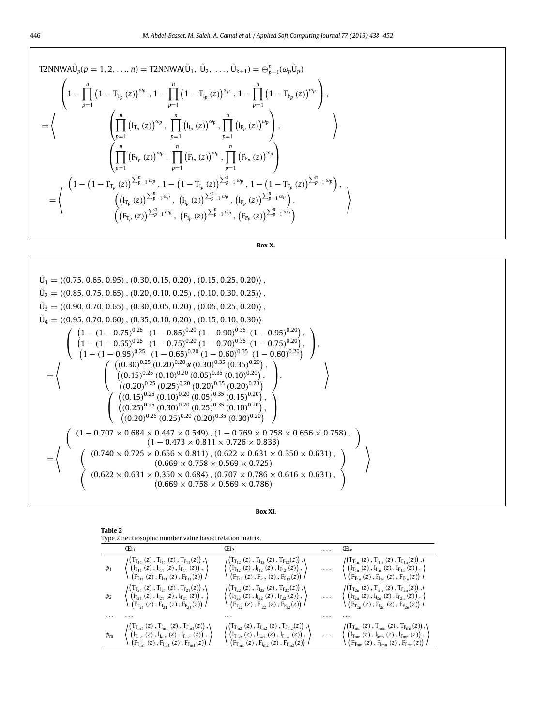T2NNWA
$$
\tilde{U}_p(p = 1, 2, ..., n) = T2NNWA(\tilde{U}_1, \tilde{U}_2, ..., \tilde{U}_{k+1}) = \bigoplus_{p=1}^n (\omega_p \tilde{U}_p)
$$
  
\n
$$
\begin{pmatrix}\n1 - \prod_{p=1}^n (1 - T_{T_p}(z))^{\omega_p}, 1 - \prod_{p=1}^n (1 - T_{T_p}(z))^{\omega_p}, 1 - \prod_{p=1}^n (1 - T_{F_p}(z))^{\omega_p} \\
\vdots \\
\prod_{p=1}^n (I_{T_p}(z))^{\omega_p}, \prod_{p=1}^n (I_{T_p}(z))^{\omega_p}, \prod_{p=1}^n (I_{F_p}(z))^{\omega_p}\n\end{pmatrix},
$$
\n
$$
= \left\langle \begin{pmatrix}\n\prod_{p=1}^n (F_{T_p}(z))^{\omega_p}, \prod_{p=1}^n (F_{T_p}(z))^{\omega_p}, \prod_{p=1}^n (F_{F_p}(z))^{\omega_p} \\
\vdots \\
\prod_{p=1}^n (F_{T_p}(z))^{\sum_{p=1}^n \omega_p}, 1 - (1 - T_{T_p}(z))^{\sum_{p=1}^n \omega_p}, \prod_{p=1}^n (F_{F_p}(z))^{\sum_{p=1}^n \omega_p}\n\end{pmatrix},
$$
\n
$$
\begin{pmatrix}\n(1 - (1 - T_{T_p}(z))^{\sum_{p=1}^n \omega_p}, (I_{T_p}(z))^{\sum_{p=1}^n \omega_p}, (I_{F_p}(z))^{\sum_{p=1}^n \omega_p}, (F_{F_p}(z))^{\sum_{p=1}^n \omega_p} \\
(F_{T_p}(z))^{\sum_{p=1}^n \omega_p}, (F_{T_p}(z))^{\sum_{p=1}^n \omega_p}, (F_{F_p}(z))^{\sum_{p=1}^n \omega_p}\n\end{pmatrix}\n\right\rangle
$$

**Box X.**

<span id="page-8-0"></span>
$$
\tilde{U}_1 = \langle (0.75, 0.65, 0.95), (0.30, 0.15, 0.20), (0.15, 0.25, 0.20) \rangle,
$$
\n
$$
\tilde{U}_2 = \langle (0.85, 0.75, 0.65), (0.20, 0.10, 0.25), (0.10, 0.30, 0.25) \rangle,
$$
\n
$$
\tilde{U}_3 = \langle (0.90, 0.70, 0.65), (0.30, 0.05, 0.20), (0.05, 0.25, 0.20) \rangle,
$$
\n
$$
\tilde{U}_4 = \langle (0.95, 0.70, 0.60), (0.35, 0.10, 0.20), (0.15, 0.10, 0.30) \rangle
$$
\n
$$
\tilde{U}_4 = \langle (0.95, 0.70, 0.60), (0.35, 0.10, 0.20), (0.15, 0.10, 0.30) \rangle
$$
\n
$$
\langle 1 - (1 - 0.75)^{0.25} (1 - 0.85)^{0.20} (1 - 0.90)^{0.35} (1 - 0.95)^{0.20} \rangle,
$$
\n
$$
\langle 1 - (1 - 0.95)^{0.25} (1 - 0.75)^{0.20} (1 - 0.60)^{0.35} (1 - 0.60)^{0.20} \rangle,
$$
\n
$$
\langle (0.15)^{0.25} (0.20)^{0.20} (0.20)^{0.35} (0.35)^{0.20} \rangle,
$$
\n
$$
\langle (0.20)^{0.25} (0.25)^{0.20} (0.25)^{0.35} (0.10)^{0.20} \rangle,
$$
\n
$$
\langle (0.25)^{0.25} (0.10)^{0.20} (0.05)^{0.35} (0.10)^{0.20} \rangle,
$$
\n
$$
\langle (0.25)^{0.25} (0.25)^{0.20} (0.25)^{0.35} (0.10)^{0.20}
$$

|--|--|

<span id="page-8-2"></span><span id="page-8-1"></span>

| Table 2<br>Type 2 neutrosophic number value based relation matrix.                                                                                                                                                                                                                                                                                                                                                  |                                                                                                                                                                                                                                                                                                                    |  |                                                                                                                                                                                                                                                                                                                                                                                                                                                                                                         |  |  |  |
|---------------------------------------------------------------------------------------------------------------------------------------------------------------------------------------------------------------------------------------------------------------------------------------------------------------------------------------------------------------------------------------------------------------------|--------------------------------------------------------------------------------------------------------------------------------------------------------------------------------------------------------------------------------------------------------------------------------------------------------------------|--|---------------------------------------------------------------------------------------------------------------------------------------------------------------------------------------------------------------------------------------------------------------------------------------------------------------------------------------------------------------------------------------------------------------------------------------------------------------------------------------------------------|--|--|--|
| Œi <sub>1</sub>                                                                                                                                                                                                                                                                                                                                                                                                     | Œi <sub>2</sub>                                                                                                                                                                                                                                                                                                    |  | Œi <sub>n</sub>                                                                                                                                                                                                                                                                                                                                                                                                                                                                                         |  |  |  |
| $\phi_1 \quad \left\langle \begin{pmatrix} T_{r_{11}}(z)\,,\,T_{l_{11}}(z)\,,\,T_{r_{11}}(z)\,,\,F_{r_{11}}(z)\,)\,,\,\\ \left(I_{r_{11}}(z)\,,\,I_{l_{11}}(z)\,,\,F_{r_{11}}(z)\right)\,,\,\\ \left(F_{r_{11}}(z)\,,\,F_{l_{11}}(z)\right)\,,\,\\ \end{pmatrix} \quad \left\langle \begin{pmatrix} T_{r_{12}}(z)\,,\,T_{l_{12}}(z)\,,\,T_{l_{12}}(z)\,,\,F_{r_{12}}(z)\, \end{pmatrix}$                            | $\sqrt{F_{T_{12}}(z)$ , $F_{I_{12}}(z)$ , $F_{F_{12}}(z)$                                                                                                                                                                                                                                                          |  |                                                                                                                                                                                                                                                                                                                                                                                                                                                                                                         |  |  |  |
| $\phi_2 \quad \quad \left\langle \begin{pmatrix} T_{T_{21}}\left(z\right), T_{I_{21}}\left(z\right), T_{F_{21}}(z)\end{pmatrix}, \left.\begin{pmatrix} T_{F_{21}}\left(z\right), I_{F_{21}}\left(z\right)\end{pmatrix}, \left.\begin{pmatrix} F_{F_{21}}\left(z\right), F_{F_{21}}\left(z\right), F_{F_{21}}\left(z\right)\end{pmatrix}\right. \right\rangle \right.$                                               | $\left\langle \begin{pmatrix} T_{T_{22}}\left(z\right), T_{I_{22}}\left(z\right), T_{F_{22}}(z)\right), \ \left(I_{T_{22}}\left(z\right), I_{I_{22}}\left(z\right), I_{F_{22}}\left(z\right)\right), \ \left(F_{T_{22}}\left(z\right), F_{I_{22}}\left(z\right), F_{F_{22}}(z)\right) \end{pmatrix} \right\rangle$ |  | $\cdots \quad \left\langle\begin{pmatrix} T_{T_{2n}}\left(z\right), T_{I_{2n}}\left(z\right), T_{F_{2n}}(z) \end{pmatrix}, \right. \\ \left\langle\begin{pmatrix} I_{T_{2n}}\left(z\right), I_{I_{2n}}\left(z\right), I_{F_{2n}}\left(z\right) \end{pmatrix}, \left\langle\begin{pmatrix} I_{T_{2n}}\left(z\right), I_{F_{2n}}\left(z\right) \end{pmatrix}, \left\langle\begin{pmatrix} I_{T_{2n}}\left(z\right), I_{T_{2n}}\left(z\right) \end{pmatrix}, I_{T_{2n}}\left(z\right) \end{pmatrix}\right$ |  |  |  |
|                                                                                                                                                                                                                                                                                                                                                                                                                     |                                                                                                                                                                                                                                                                                                                    |  |                                                                                                                                                                                                                                                                                                                                                                                                                                                                                                         |  |  |  |
| $\phi_{m} \quad \  \  \left\langle \begin{pmatrix} T_{T_{m1}}(z)\,,\,T_{t_{m1}}(z)\,,\,T_{F_{m1}}(z)\,,\,F_{F_{m1}}(z)\,,\,F_{F_{m1}}(z)\, \end{pmatrix} \right\rangle \quad \  \  \left\langle \begin{pmatrix} T_{T_{m2}}(z)\,,\,T_{t_{m2}}(z)\,,\,T_{F_{m2}}(z)\,,\,F_{F_{m2}}(z)\, \end{pmatrix} \right\rangle \quad \  \  \, \dots \quad \  \  \left\langle \begin{pmatrix} T_{T_{m1}}(z)\,,\,T_{t_{m1}}(z)\,,$ |                                                                                                                                                                                                                                                                                                                    |  |                                                                                                                                                                                                                                                                                                                                                                                                                                                                                                         |  |  |  |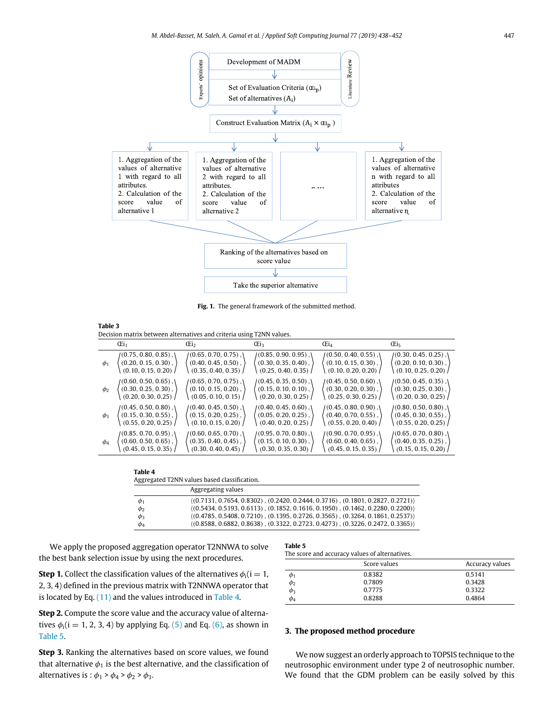

**Fig. 1.** The general framework of the submitted method.

<span id="page-9-2"></span><span id="page-9-1"></span>

| Table 3                                                              |  |
|----------------------------------------------------------------------|--|
| Decision matrix between alternatives and criteria using T2NN values. |  |

|          | $\mathbb{G}$ <sub>1</sub>         | Œi <sub>2</sub>         | Œi <sub>3</sub>           | Œi <sub>4</sub>         | Œi,                                    |
|----------|-----------------------------------|-------------------------|---------------------------|-------------------------|----------------------------------------|
| $\phi_1$ | $/(0.75, 0.80, 0.85)$ , $\langle$ | $/(0.65, 0.70, 0.75)$ , | $/(0.85, 0.90, 0.95)$ ,   | $/(0.50, 0.40, 0.55)$ , | $/(0.30, 0.45, 0.25)$ , $\binom{1}{2}$ |
|          | $(0.20, 0.15, 0.30)$ ,            | $(0.40, 0.45, 0.50)$ ,  | $(0.30, 0.35, 0.40)$ ,    | $(0.10, 0.15, 0.30)$ ,  | $(0.20, 0.10, 0.30)$ ,                 |
|          | (0.10, 0.15, 0.20)                | (0.35, 0.40, 0.35)      | (0.25, 0.40, 0.35)        | (0.10, 0.20, 0.20)      | (0.10, 0.25, 0.20)                     |
| $\phi_2$ | $(0.60, 0.50, 0.65)$ , \          | $(0.65, 0.70, 0.75)$ ,  | $(0.45, 0.35, 0.50)$ ,    | $(0.45, 0.50, 0.60)$ ,  | $(0.50, 0.45, 0.35)$ , \               |
|          | $(0.30, 0.25, 0.30)$ ,            | $(0.10, 0.15, 0.20)$ ,  | $(0.15, 0.10, 0.10)$ ,    | $(0.30, 0.20, 0.30)$ ,  | $(0.30, 0.25, 0.30)$ ,                 |
|          | (0.20, 0.30, 0.25)                | (0.05, 0.10, 0.15)      | (0.20, 0.30, 0.25)        | (0.25, 0.30, 0.25)      | (0.20, 0.30, 0.25)                     |
| $\phi_3$ | $/(0.45, 0.50, 0.80)$ , \         | $/(0.40, 0.45, 0.50)$ , | $/(0.40, 0.45, 0.60)$ , \ | $/(0.45, 0.80, 0.90)$ , | $/(0.80, 0.50, 0.80)$ , \              |
|          | $(0.15, 0.30, 0.55)$ ,            | $(0.15, 0.20, 0.25)$ ,  | $(0.05, 0.20, 0.25)$ ,    | $(0.40, 0.70, 0.55)$ ,  | $(0.45, 0.30, 0.55)$ ,                 |
|          | (0.55, 0.20, 0.25)                | $(0.10, 0.15, 0.20)$ /  | $(0.40, 0.20, 0.25)$ /    | (0.55, 0.20, 0.40)      | (0.55, 0.20, 0.25)                     |
| $\phi_4$ | $(0.85, 0.70, 0.95)$ , $\lambda$  | $(0.60, 0.65, 0.70)$ ,  | $(0.95, 0.70, 0.80)$ ,    | $(0.90, 0.70, 0.95)$ ,  | $/(0.65, 0.70, 0.80)$ , \              |
|          | $(0.60, 0.50, 0.65)$ ,            | $(0.35, 0.40, 0.45)$ ,  | $(0.15, 0.10, 0.30)$ ,    | $(0.60, 0.40, 0.65)$ ,  | $(0.40, 0.35, 0.25)$ ,                 |
|          | (0.45, 0.15, 0.35)                | (0.30, 0.40, 0.45)      | (0.30, 0.35, 0.30)        | (0.45, 0.15, 0.35)      | (0.15, 0.15, 0.20)                     |

| Table 4                                      |
|----------------------------------------------|
| Aggregated T2NN values based classification. |

| ິ        |                                                                                      |
|----------|--------------------------------------------------------------------------------------|
|          | Aggregating values                                                                   |
| $\phi_1$ | $(0.7131, 0.7654, 0.8302)$ , $(0.2420, 0.2444, 0.3716)$ , $(0.1801, 0.2827, 0.2721)$ |
| $\phi_2$ | $(0.5434, 0.5193, 0.6113)$ , $(0.1852, 0.1616, 0.1950)$ , $(0.1462, 0.2280, 0.2200)$ |
| $\phi_3$ | $(0.4785, 0.5408, 0.7210)$ , $(0.1395, 0.2726, 0.3565)$ , $(0.3264, 0.1861, 0.2537)$ |
| $\phi_4$ | $(0.8588, 0.6882, 0.8638)$ , $(0.3322, 0.2723, 0.4273)$ , $(0.3226, 0.2472, 0.3365)$ |

<span id="page-9-3"></span>We apply the proposed aggregation operator T2NNWA to solve the best bank selection issue by using the next procedures.

**Step 1.** Collect the classification values of the alternatives  $\phi_i$  ( $i = 1$ , 2, 3, 4) defined in the previous matrix with T2NNWA operator that is located by Eq. ([11](#page-3-2)) and the values introduced in [Table](#page-9-3) [4.](#page-9-3)

**Step 2.** Compute the score value and the accuracy value of alternatives  $\phi_i$ (i = 1, 2, 3, 4) by applying Eq. [\(5\)](#page-2-4) and Eq. [\(6](#page-2-5)), as shown in [Table](#page-9-4) [5.](#page-9-4)

**Step 3.** Ranking the alternatives based on score values, we found that alternative  $\phi_1$  is the best alternative, and the classification of alternatives is :  $\phi_1$  >  $\phi_4$  >  $\phi_2$  >  $\phi_3$ .

#### **Table 5**

<span id="page-9-4"></span>The score and accuracy values of alternatives.

|                         | Score values | Accuracy values |
|-------------------------|--------------|-----------------|
| $\varphi_1$             | 0.8382       | 0.5141          |
|                         | 0.7809       | 0.3428          |
| $\frac{\phi_2}{\phi_3}$ | 0.7775       | 0.3322          |
|                         | 0.8288       | 0.4864          |

## **3. The proposed method procedure**

<span id="page-9-0"></span>We now suggest an orderly approach to TOPSIS technique to the neutrosophic environment under type 2 of neutrosophic number. We found that the GDM problem can be easily solved by this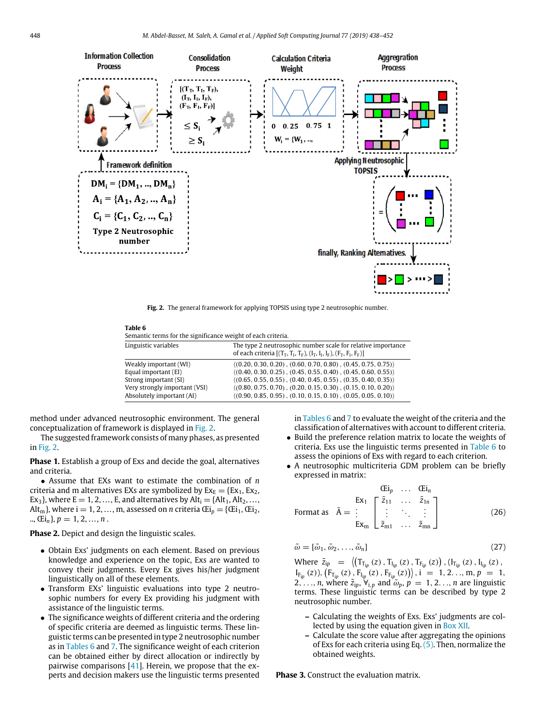

**Fig. 2.** The general framework for applying TOPSIS using type 2 neutrosophic number.

<span id="page-10-0"></span>

| $\sim$<br>. . | $\sim$ |
|---------------|--------|
|---------------|--------|

Semantic terms for the significance weight of each criteria.

| Linguistic variables          | The type 2 neutrosophic number scale for relative importance<br>of each criteria $[(T_T, T_I, T_F), (I_T, I_I, I_F), (F_T, F_I, F_F)]$ |
|-------------------------------|----------------------------------------------------------------------------------------------------------------------------------------|
| Weakly important (WI)         | $(0.20, 0.30, 0.20), (0.60, 0.70, 0.80), (0.45, 0.75, 0.75))$                                                                          |
| Equal important (EI)          | $(0.40, 0.30, 0.25), (0.45, 0.55, 0.40), (0.45, 0.60, 0.55))$                                                                          |
| Strong important (SI)         | $(0.65, 0.55, 0.55)$ , $(0.40, 0.45, 0.55)$ , $(0.35, 0.40, 0.35)$                                                                     |
| Very strongly important (VSI) | $(0.80, 0.75, 0.70)$ , $(0.20, 0.15, 0.30)$ , $(0.15, 0.10, 0.20)$                                                                     |
| Absolutely important (AI)     | $(0.90, 0.85, 0.95), (0.10, 0.15, 0.10), (0.05, 0.05, 0.10)$                                                                           |

<span id="page-10-1"></span>method under advanced neutrosophic environment. The general conceptualization of framework is displayed in [Fig.](#page-10-0) [2](#page-10-0).

The suggested framework consists of many phases, as presented in [Fig.](#page-10-0) [2](#page-10-0).

**Phase 1.** Establish a group of Exs and decide the goal, alternatives and criteria.

• Assume that EXs want to estimate the combination of *n* criteria and m alternatives EXs are symbolized by  $Ex_E = \{Ex_1, Ex_2,$ Ex<sub>3</sub>}, where E = 1, 2, ..., E, and alternatives by  $Alt_i = \{Alt_1, Alt_2, ...,$ Alt<sub>m</sub>}, where i = 1, 2, ..., m, assessed on *n* criteria  $Ei_p = \{Ei_1, Ei_2,$ ..,  $(Ei_n)$ ,  $p = 1, 2, ..., n$ .

**Phase 2.** Depict and design the linguistic scales.

- Obtain Exs' judgments on each element. Based on previous knowledge and experience on the topic, Exs are wanted to convey their judgments. Every Ex gives his/her judgment linguistically on all of these elements.
- Transform EXs' linguistic evaluations into type 2 neutrosophic numbers for every Ex providing his judgment with assistance of the linguistic terms.
- The significance weights of different criteria and the ordering of specific criteria are deemed as linguistic terms. These linguistic terms can be presented in type 2 neutrosophic number as in [Tables](#page-10-1) [6](#page-10-1) and [7](#page-11-1). The significance weight of each criterion can be obtained either by direct allocation or indirectly by pairwise comparisons  $[41]$  $[41]$  $[41]$ . Herein, we propose that the experts and decision makers use the linguistic terms presented

in [Tables](#page-10-1) [6](#page-10-1) and [7](#page-11-1) to evaluate the weight of the criteria and the classification of alternatives with account to different criteria.

- Build the preference relation matrix to locate the weights of criteria. Exs use the linguistic terms presented in [Table](#page-10-1) [6](#page-10-1) to assess the opinions of Exs with regard to each criterion.
- A neutrosophic multicriteria GDM problem can be briefly expressed in matrix:

<span id="page-10-3"></span>
$$
\begin{array}{cccc}\n & & \mathbf{Ei}_p & \dots & \mathbf{Ei}_n \\
 & & \mathbf{Ex}_1 & \begin{bmatrix} \tilde{z}_{11} & \dots & \tilde{z}_{1n} \\ \vdots & \ddots & \vdots \\ \mathbf{Ex}_m & \tilde{z}_{m1} & \dots & \tilde{z}_{mn} \end{bmatrix}\n\end{array}
$$
\nFormat as

\n
$$
\tilde{A} = \begin{bmatrix} \tilde{z}_{11} & \dots & \tilde{z}_{1n} \\ \vdots & \ddots & \vdots \\ \tilde{z}_{m1} & \dots & \tilde{z}_{mn} \end{bmatrix}
$$
\n(26)

<span id="page-10-2"></span>
$$
\tilde{\omega} = [\tilde{\omega}_1, \tilde{\omega}_2, \dots, \tilde{\omega}_n]
$$
\n(27)

Where  $\tilde{z}_{ip} = \left( (\Gamma_{T_{ip}}(z), \Gamma_{I_{ip}}(z), T_{F_{ip}}(z)), (\Gamma_{T_{ip}}(z), I_{I_{ip}}(z), \right)$  $I_{F_{ip}}(z)$ ),  $(F_{T_{ip}}(z), F_{I_{ip}}(z), F_{F_{ip}}(z))$ ,  $i = 1, 2, ..., m, p = 1$ , 2,  $\ldots$ , *n*, where  $\tilde{z}_{ip}$ ,  $\forall_{i,p}$  and  $\tilde{\omega}_p$ ,  $p = 1, 2, \ldots, n$  are linguistic terms. These linguistic terms can be described by type 2 neutrosophic number.

- **–** Calculating the weights of Exs. Exs' judgments are collected by using the equation given in [Box](#page-11-2) [XII.](#page-11-2)
- **–** Calculate the score value after aggregating the opinions of Exs for each criteria using Eq. ([5\)](#page-2-4). Then, normalize the obtained weights.

**Phase 3.** Construct the evaluation matrix.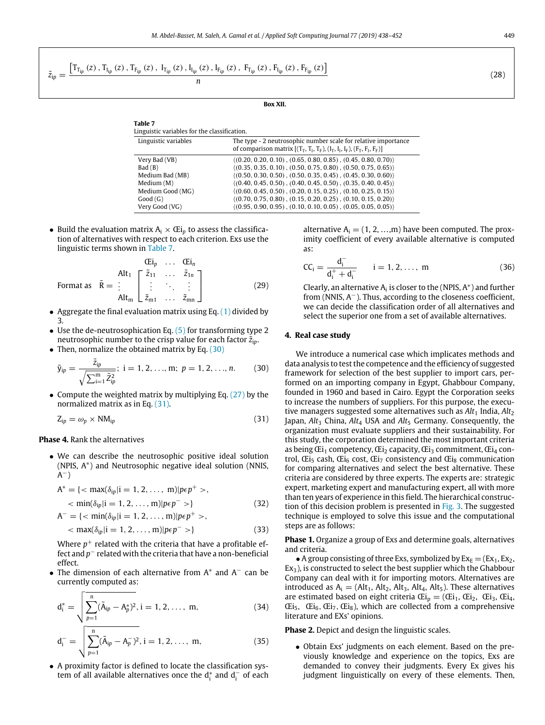<span id="page-11-2"></span><span id="page-11-1"></span>
$$
\tilde{z}_{ip}=\frac{\left[T_{T_{ip}}\left(z\right),T_{I_{ip}}\left(z\right),T_{F_{ip}}\left(z\right),\,I_{T_{ip}}\left(z\right),I_{I_{ip}}\left(z\right),I_{F_{ip}}\left(z\right),\,F_{T_{ip}}\left(z\right),F_{I_{ip}}\left(z\right),F_{F_{ip}}\left(z\right)\right]}{n}
$$

**Box XII.**

| Linguistic variables for the classification. |                                                                                                                                         |  |  |  |  |
|----------------------------------------------|-----------------------------------------------------------------------------------------------------------------------------------------|--|--|--|--|
| Linguistic variables                         | The type - 2 neutrosophic number scale for relative importance<br>of comparison matrix $[(T_T, T_I, T_F), (I_T, I_F), (F_T, F_I, F_F)]$ |  |  |  |  |
| Very Bad (VB)                                | $(0.20, 0.20, 0.10)$ , $(0.65, 0.80, 0.85)$ , $(0.45, 0.80, 0.70)$                                                                      |  |  |  |  |
| Bad(B)                                       | $(0.35, 0.35, 0.10), (0.50, 0.75, 0.80), (0.50, 0.75, 0.65)$                                                                            |  |  |  |  |
| Medium Bad (MB)                              | $(0.50, 0.30, 0.50)$ , $(0.50, 0.35, 0.45)$ , $(0.45, 0.30, 0.60)$                                                                      |  |  |  |  |
| Median(M)                                    | $(0.40, 0.45, 0.50), (0.40, 0.45, 0.50), (0.35, 0.40, 0.45)$                                                                            |  |  |  |  |
| Medium Good (MG)                             | $(0.60, 0.45, 0.50), (0.20, 0.15, 0.25), (0.10, 0.25, 0.15))$                                                                           |  |  |  |  |
| Good(G)                                      | $(0.70, 0.75, 0.80)$ , $(0.15, 0.20, 0.25)$ , $(0.10, 0.15, 0.20)$                                                                      |  |  |  |  |
| Very Good (VG)                               | $(0.95, 0.90, 0.95)$ , $(0.10, 0.10, 0.05)$ , $(0.05, 0.05, 0.05)$                                                                      |  |  |  |  |
|                                              |                                                                                                                                         |  |  |  |  |

• Build the evaluation matrix  $A_i \times \mathbb{E}$  to assess the classification of alternatives with respect to each criterion. Exs use the linguistic terms shown in [Table](#page-11-1) [7.](#page-11-1)

**Table 7**

$$
\begin{array}{cccc}\n & & \mathbf{G}i_{p} & \dots & \mathbf{G}i_{n} \\
 & & & \mathbf{Alt}_{1} & \begin{bmatrix} \tilde{z}_{11} & \dots & \tilde{z}_{1n} \\ \vdots & \ddots & \vdots \\ \mathbf{Alt}_{m} & \tilde{z}_{m1} & \dots & \tilde{z}_{mn} \end{bmatrix}\n\end{array}
$$
\nFormat as

\n
$$
\tilde{R} = \begin{bmatrix} \tilde{z}_{11} & \dots & \tilde{z}_{1n} \\ \vdots & \ddots & \vdots \\ \mathbf{Alt}_{m} & \tilde{z}_{m1} & \dots & \tilde{z}_{mn} \end{bmatrix}
$$
\n(29)

- Aggregate the final evaluation matrix using Eq.  $(1)$  divided by 3.
- Use the de-neutrosophication Eq.  $(5)$  $(5)$  for transforming type 2 neutrosophic number to the crisp value for each factor  $\tilde{z}_{ip}$ .
- Then, normalize the obtained matrix by Eq. [\(30](#page-11-3))

$$
\tilde{y}_{ip} = \frac{\tilde{z}_{ip}}{\sqrt{\sum_{i=1}^{m} \tilde{z}_{ip}^2}}; \ i = 1, 2, ..., m; \ p = 1, 2, ..., n. \tag{30}
$$

• Compute the weighted matrix by multiplying Eq.  $(27)$  $(27)$  $(27)$  by the normalized matrix as in Eq. [\(31\)](#page-11-4).

$$
Z_{ip} = \omega_p \times NM_{ip} \tag{31}
$$

**Phase 4.** Rank the alternatives

• We can describe the neutrosophic positive ideal solution (NPIS, A<sup>∗</sup> ) and Neutrosophic negative ideal solution (NNIS, .<br>A<sup>-</sup>)

$$
A^* = \{ <\max(\delta_{ip}|i = 1, 2, ..., m)|p\epsilon p^+ >, <\min(\delta_{ip}|i = 1, 2, ..., m)|p\epsilon p^- > \}
$$
(32)

$$
A^{-} = \{ \langle \min(\delta_{ip}|i = 1, 2, ..., m)|p\epsilon p^{+} \rangle, \langle \max(\delta_{ip}|i = 1, 2, ..., m)|p\epsilon p^{-} \rangle \}
$$
(33)

Where *p* <sup>+</sup> related with the criteria that have a profitable effect and *p*−related with the criteria that have a non-beneficial effect.

• The dimension of each alternative from A<sup>\*</sup> and A<sup>-</sup> can be currently computed as:

$$
d_i^* = \sqrt{\sum_{p=1}^n (\tilde{A}_{ip} - A_p^*)^2}, i = 1, 2, ..., m,
$$
 (34)

$$
d_i^- = \sqrt{\sum_{p=1}^n (\tilde{A}_{ip} - A_p^-)^2}, i = 1, 2, ..., m,
$$
 (35)

• A proximity factor is defined to locate the classification system of all available alternatives once the  $d_i^*$  and  $d_i^-$  of each

alternative  $A_i = (1, 2, ..., m)$  have been computed. The proximity coefficient of every available alternative is computed as:

$$
CC_i = \frac{d_i^-}{d_i^+ + d_i^-} \qquad i = 1, 2, ..., m \tag{36}
$$

<span id="page-11-6"></span>Clearly, an alternative  $A_i$  is closer to the (NPIS,  $A^*$ ) and further from (NNIS, A−). Thus, according to the closeness coefficient, we can decide the classification order of all alternatives and select the superior one from a set of available alternatives.

# **4. Real case study**

<span id="page-11-4"></span><span id="page-11-3"></span><span id="page-11-0"></span>We introduce a numerical case which implicates methods and data analysis to test the competence and the efficiency of suggested framework for selection of the best supplier to import cars, performed on an importing company in Egypt, Ghabbour Company, founded in 1960 and based in Cairo. Egypt the Corporation seeks to increase the numbers of suppliers. For this purpose, the executive managers suggested some alternatives such as  $Alt_1$  India,  $Alt_2$ Japan, *Alt*<sub>3</sub> China, *Alt*<sub>4</sub> USA and *Alt*<sub>5</sub> Germany. Consequently, the organization must evaluate suppliers and their sustainability. For this study, the corporation determined the most important criteria as being  $E_i$ 1 competency,  $E_i$ <sub>2</sub> capacity,  $E_i$ <sub>3</sub> commitment,  $E_i$ <sub>4</sub> control,  $E_i$ <sub>5</sub> cash,  $E_i$ <sub>6</sub> cost,  $E_i$ <sub>7</sub> consistency and  $E_i$ <sub>8</sub> communication for comparing alternatives and select the best alternative. These criteria are considered by three experts. The experts are: strategic expert, marketing expert and manufacturing expert, all with more than ten years of experience in this field. The hierarchical construction of this decision problem is presented in [Fig.](#page-12-1) [3.](#page-12-1) The suggested technique is employed to solve this issue and the computational steps are as follows:

<span id="page-11-8"></span><span id="page-11-7"></span>**Phase 1.** Organize a group of Exs and determine goals, alternatives and criteria.

• A group consisting of three Exs, symbolized by  $Ex_E = (Ex_1, Ex_2,$  $Ex<sub>3</sub>$ ), is constructed to select the best supplier which the Ghabbour Company can deal with it for importing motors. Alternatives are introduced as  $A_i = (Alt_1, Alt_2, Alt_3, Alt_4, Alt_5)$ . These alternatives are estimated based on eight criteria  $Ei_p = (Ei_1, Ei_2, Ei_3, Ei_4,$  $Ei<sub>5</sub>$ ,  $Ei<sub>6</sub>$ ,  $Ei<sub>7</sub>$ ,  $Ei<sub>8</sub>$ ), which are collected from a comprehensive literature and EXs' opinions.

<span id="page-11-10"></span><span id="page-11-9"></span>**Phase 2.** Depict and design the linguistic scales.

• Obtain Exs' judgments on each element. Based on the previously knowledge and experience on the topics, Exs are demanded to convey their judgments. Every Ex gives his judgment linguistically on every of these elements. Then,

<span id="page-11-11"></span><span id="page-11-5"></span>(28)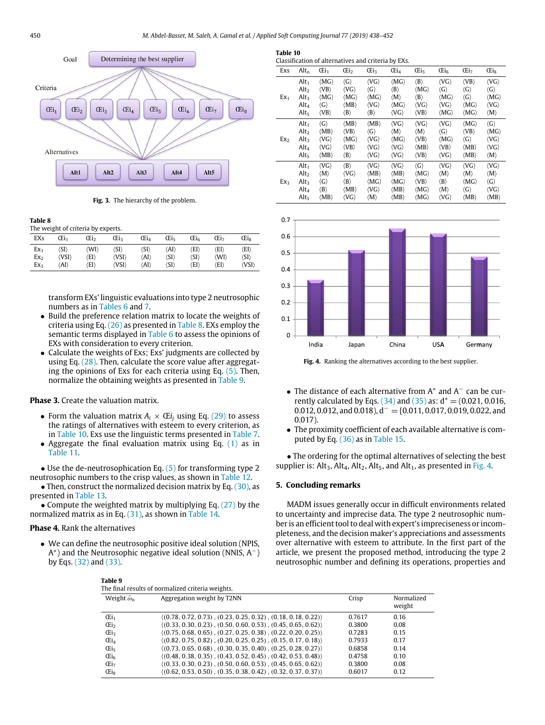<span id="page-12-4"></span>**Table 10**



**Fig. 3.** The hierarchy of the problem.

<span id="page-12-2"></span><span id="page-12-1"></span>**Table 8**

| The weight of criteria by experts. |       |      |                      |      |                      |                      |      |                      |
|------------------------------------|-------|------|----------------------|------|----------------------|----------------------|------|----------------------|
| EXs                                | Œi1   | Œi,  | Œi <sub>3</sub>      | Œi4  | Œis                  | <b>Eis</b>           | Œi-  | Œis                  |
| Ex <sub>1</sub>                    | 'SI)  | (WI) | $\langle SI \rangle$ | (SI) | (AI)                 | 'EI\                 | 'EI\ | (EI)                 |
| Ex <sub>2</sub>                    | (VSI) | 'EI\ | (VSI)                | (AI) | $\langle SI \rangle$ | $\langle SI \rangle$ | (WI) | $\langle SI \rangle$ |
| Ex <sub>2</sub>                    | 'AI)  | 'EI) | (VSI)                | 'AI) | $\langle SI \rangle$ | 'EI\                 | 'EI\ | (VSI)                |

transform EXs' linguistic evaluations into type 2 neutrosophic numbers as in [Tables](#page-10-1) [6](#page-10-1) and [7.](#page-11-1)

- Build the preference relation matrix to locate the weights of criteria using Eq. ([26\)](#page-10-3) as presented in [Table](#page-12-2) [8](#page-12-2). EXs employ the semantic terms displayed in [Table](#page-10-1) [6](#page-10-1) to assess the opinions of EXs with consideration to every criterion.
- Calculate the weights of Exs; Exs' judgments are collected by using Eq. [\(28\)](#page-11-5). Then, calculate the score value after aggregating the opinions of Exs for each criteria using Eq. [\(5\)](#page-2-4). Then, normalize the obtaining weights as presented in [Table](#page-12-3) [9](#page-12-3).

#### **Phase 3.** Create the valuation matrix.

- Form the valuation matrix  $A_i \times \times I_i$  using Eq. [\(29\)](#page-11-6) to assess the ratings of alternatives with esteem to every criterion, as in [Table](#page-12-4) [10.](#page-12-4) Exs use the linguistic terms presented in [Table](#page-11-1) [7.](#page-11-1)
- Aggregate the final evaluation matrix using Eq.  $(1)$  $(1)$  as in [Table](#page-13-0) [11](#page-13-0).

• Use the de-neutrosophication Eq.  $(5)$  $(5)$  for transforming type 2 neutrosophic numbers to the crisp values, as shown in [Table](#page-13-1) [12](#page-13-1).

• Then, construct the normalized decision matrix by Eq. [\(30\)](#page-11-3), as presented in [Table](#page-13-2) [13.](#page-13-2)

• Compute the weighted matrix by multiplying Eq.  $(27)$  $(27)$  $(27)$  by the normalized matrix as in Eq. [\(31\)](#page-11-4), as shown in [Table](#page-13-3) [14](#page-13-3).

## **Phase 4.** Rank the alternatives

**Table 9**

<span id="page-12-3"></span>• We can define the neutrosophic positive ideal solution (NPIS, A ∗ ) and the Neutrosophic negative ideal solution (NNIS, A−) by Eqs. ([32](#page-11-7)) and ([33](#page-11-8)).

| Classification of alternatives and criteria by EXs. |                  |                             |                             |                             |                             |                             |                              |                             |                             |
|-----------------------------------------------------|------------------|-----------------------------|-----------------------------|-----------------------------|-----------------------------|-----------------------------|------------------------------|-----------------------------|-----------------------------|
| Exs                                                 | $Alt_n$          | (Ei <sub>1</sub> )          | $\mathbb{G}_{2}$            | Œi3                         | Œi <sub>4</sub>             | Œi,                         | $\overline{\text{Ei}}_6$     | $\mathbb{G}$ i <sub>7</sub> | Œi <sub>8</sub>             |
|                                                     | Alt <sub>1</sub> | $\langle MG \rangle$        | $\langle G \rangle$         | $\langle \text{VG} \rangle$ | $\langle MG \rangle$        | $\langle B \rangle$         | $\langle \text{VG} \rangle$  | $\langle VB \rangle$        | $\langle \text{VG} \rangle$ |
|                                                     | Alt <sub>2</sub> | $\langle VB \rangle$        | $\langle \text{VG} \rangle$ | $\langle G \rangle$         | $\langle B \rangle$         | $\langle MG \rangle$        | $\langle \mathsf{G} \rangle$ | $\langle G \rangle$         | $\langle G \rangle$         |
| Ex <sub>1</sub>                                     | Alt <sub>3</sub> | $\langle MG \rangle$        | $\langle MG \rangle$        | $\langle MG \rangle$        | $\langle M \rangle$         | $\langle B \rangle$         | $\langle MG \rangle$         | $\langle G \rangle$         | $\langle MG \rangle$        |
|                                                     | $Alt_4$          | $\langle G \rangle$         | $\langle MB \rangle$        | $\langle \text{VG} \rangle$ | $\langle MG \rangle$        | $\langle \text{VG} \rangle$ | $\langle \text{VG} \rangle$  | $\langle MG \rangle$        | $\langle \text{VG} \rangle$ |
|                                                     | Alt <sub>5</sub> | $\langle VB \rangle$        | $\langle B \rangle$         | $\langle B \rangle$         | $\langle \text{VG} \rangle$ | $\langle VB\rangle$         | $\langle MG \rangle$         | $\langle MG \rangle$        | $\langle M \rangle$         |
|                                                     | Alt <sub>1</sub> | $\langle G \rangle$         | $\langle MB \rangle$        | $\langle MB \rangle$        | $\langle \text{VG} \rangle$ | $\langle \text{VG} \rangle$ | $\langle \text{VG} \rangle$  | $\langle MG \rangle$        | $\langle G \rangle$         |
|                                                     | Alt <sub>2</sub> | $\langle MB \rangle$        | $\langle VB \rangle$        | $\langle G \rangle$         | $\langle M \rangle$         | $\langle M \rangle$         | $\langle \mathsf{G} \rangle$ | $\langle VB \rangle$        | $\langle MG \rangle$        |
| Ex <sub>2</sub>                                     | Alt <sub>3</sub> | $\langle \text{VG} \rangle$ | $\langle MG \rangle$        | $\langle \text{VG} \rangle$ | $\langle MG \rangle$        | $\langle VB\rangle$         | $\langle MG \rangle$         | $\langle G \rangle$         | $\langle \text{VG} \rangle$ |
|                                                     | Alt <sub>4</sub> | $\langle \text{VG} \rangle$ | $\langle VB \rangle$        | $\langle \text{VG} \rangle$ | $\langle \text{VG} \rangle$ | $\langle MB \rangle$        | $\langle VB \rangle$         | $\langle MB \rangle$        | $\langle \text{VG} \rangle$ |
|                                                     | Alt <sub>5</sub> | $\langle MB \rangle$        | $\langle B \rangle$         | $\langle \text{VG} \rangle$ | $\langle \text{VG} \rangle$ | $\langle VB \rangle$        | $\langle \text{VG} \rangle$  | $\langle MB \rangle$        | $\langle M \rangle$         |
|                                                     | Alt <sub>1</sub> | $\langle \text{VG} \rangle$ | $\langle B \rangle$         | $\langle \text{VG} \rangle$ | $\langle \text{VG} \rangle$ | $\langle G \rangle$         | $\langle \text{VG} \rangle$  | $\langle \text{VG} \rangle$ | $\langle \text{VG} \rangle$ |
| Ex <sub>3</sub>                                     | Alt <sub>2</sub> | $\langle M \rangle$         | $\langle \text{VG} \rangle$ | $\langle MB \rangle$        | $\langle MB \rangle$        | $\langle MG \rangle$        | $\langle M \rangle$          | $\langle M \rangle$         | $\langle M \rangle$         |
|                                                     | Alt <sub>3</sub> | $\langle G \rangle$         | $\langle B \rangle$         | $\langle MG \rangle$        | $\langle MG \rangle$        | $\langle VB \rangle$        | $\langle B \rangle$          | $\langle MG \rangle$        | $\langle G \rangle$         |
|                                                     | Alt <sub>4</sub> | $\langle B \rangle$         | $\langle MB \rangle$        | $\langle \text{VG} \rangle$ | $\langle MB \rangle$        | $\langle MG \rangle$        | $\langle M \rangle$          | $\langle G \rangle$         | $\langle \text{VG} \rangle$ |
|                                                     | Alt <sub>5</sub> | $\langle MB \rangle$        | $\langle \text{VG} \rangle$ | $\langle M \rangle$         | $\langle MB \rangle$        | $\langle MG \rangle$        | $\langle \text{VG} \rangle$  | $\langle MB \rangle$        | $\langle MB \rangle$        |



<span id="page-12-5"></span>**Fig. 4.** Ranking the alternatives according to the best supplier.

- The distance of each alternative from A<sup>\*</sup> and A<sup>-</sup> can be currently calculated by Eqs.  $(34)$  $(34)$  and  $(35)$  $(35)$  $(35)$  as:  $d^* = (0.021, 0.016,$ 0.012, 0.012, and 0.018),  $d^- = \{0.011, 0.017, 0.019, 0.022, \text{and}$ 0.017).
- The proximity coefficient of each available alternative is computed by Eq. [\(36\)](#page-11-11) as in [Table](#page-14-35) [15.](#page-14-35)

• The ordering for the optimal alternatives of selecting the best supplier is: Alt<sub>3</sub>, Alt<sub>4</sub>, Alt<sub>2</sub>, Alt<sub>5</sub>, and Alt<sub>1</sub>, as presented in [Fig.](#page-12-5) [4](#page-12-5).

### **5. Concluding remarks**

<span id="page-12-0"></span>MADM issues generally occur in difficult environments related to uncertainty and imprecise data. The type 2 neutrosophic number is an efficient tool to deal with expert's impreciseness or incompleteness, and the decision maker's appreciations and assessments over alternative with esteem to attribute. In the first part of the article, we present the proposed method, introducing the type 2 neutrosophic number and defining its operations, properties and

| The final results of normalized criteria weights. |                                                                    |        |                      |  |  |  |  |  |
|---------------------------------------------------|--------------------------------------------------------------------|--------|----------------------|--|--|--|--|--|
| Weight $\tilde{\omega}_n$                         | Aggregation weight by T2NN                                         | Crisp  | Normalized<br>weight |  |  |  |  |  |
| (Ei <sub>1</sub> )                                | $(0.78, 0.72, 0.73), (0.23, 0.25, 0.32), (0.18, 0.18, 0.22))$      | 0.7617 | 0.16                 |  |  |  |  |  |
| Œi <sub>2</sub>                                   | $(0.33, 0.30, 0.23), (0.50, 0.60, 0.53), (0.45, 0.65, 0.62)$       | 0.3800 | 0.08                 |  |  |  |  |  |
| Œi3                                               | $(0.75, 0.68, 0.65), (0.27, 0.25, 0.38), (0.22, 0.20, 0.25))$      | 0.7283 | 0.15                 |  |  |  |  |  |
| Œi <sub>4</sub>                                   | $(0.82, 0.75, 0.82), (0.20, 0.25, 0.25), (0.15, 0.17, 0.18))$      | 0.7933 | 0.17                 |  |  |  |  |  |
| Œi <sub>5</sub>                                   | $(0.73, 0.65, 0.68)$ , $(0.30, 0.35, 0.40)$ , $(0.25, 0.28, 0.27)$ | 0.6858 | 0.14                 |  |  |  |  |  |
| $\overline{\text{Ei}}_6$                          | $(0.48, 0.38, 0.35), (0.43, 0.52, 0.45), (0.42, 0.53, 0.48)$       | 0.4758 | 0.10                 |  |  |  |  |  |
| $\mathbb{G}$ i <sub>7</sub>                       | $(0.33, 0.30, 0.23)$ , $(0.50, 0.60, 0.53)$ , $(0.45, 0.65, 0.62)$ | 0.3800 | 0.08                 |  |  |  |  |  |
| <b>CEis</b>                                       | $(0.62, 0.53, 0.50), (0.35, 0.38, 0.42), (0.32, 0.37, 0.37)$       | 0.6017 | 0.12                 |  |  |  |  |  |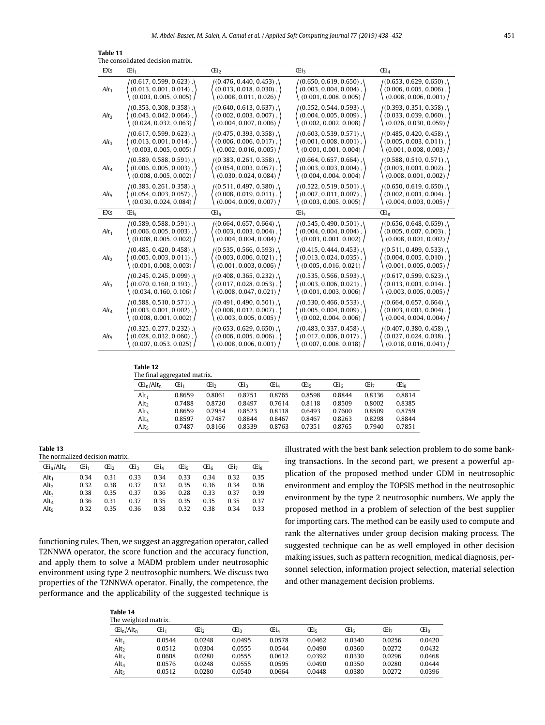<span id="page-13-0"></span>

| Table 11 |  |  |
|----------|--|--|
|          |  |  |

|                  | The consolidated decision matrix. |                               |                           |                               |
|------------------|-----------------------------------|-------------------------------|---------------------------|-------------------------------|
| EXS              | (Ei <sub>1</sub>                  | Œi <sub>2</sub>               | Œi3                       | Œi <sub>4</sub>               |
| $Alt_1$          | $(0.617, 0.599, 0.623)$ ,         | $(0.476, 0.440, 0.453)$ ,     | $(0.650, 0.619, 0.650)$ , | $(0.653, 0.629, 0.650)$ ,     |
|                  | $(0.013, 0.001, 0.014)$ ,         | $(0.013, 0.018, 0.030)$ ,     | $(0.003, 0.004, 0.004)$ . | $(0.006, 0.005, 0.006)$ ,     |
|                  | (0.003, 0.005, 0.005)             | (0.008, 0.011, 0.026)         | (0.001, 0.008, 0.005)     | (0.008, 0.006, 0.001)         |
| Alt <sub>2</sub> | $(0.353, 0.308, 0.358)$ ,         | $(0.640, 0.613, 0.637)$ ,     | $(0.552, 0.544, 0.593)$ , | $(0.393, 0.351, 0.358)$ ,     |
|                  | $(0.043, 0.042, 0.064)$ ,         | $(0.002, 0.003, 0.007)$ ,     | $(0.004, 0.005, 0.009)$ , | $(0.033, 0.039, 0.060)$ ,     |
|                  | (0.024, 0.032, 0.063)             | (0.004, 0.007, 0.006)         | (0.002, 0.002, 0.008)     | (0.026, 0.030, 0.059)         |
| Alt <sub>3</sub> | $(0.617, 0.599, 0.623)$ ,         | (0.475, 0.393, 0.358), \      | (0.603, 0.539, 0.571), \  | $(0.485, 0.420, 0.458)$ . (   |
|                  | $(0.013, 0.001, 0.014)$ ,         | $(0.006, 0.006, 0.017)$ ,     | $(0.001, 0.008, 0.001)$ , | $(0.005, 0.003, 0.011)$ ,     |
|                  | (0.003, 0.005, 0.005)             | (0.002, 0.016, 0.005)         | (0.001, 0.001, 0.004)     | (0.001, 0.008, 0.003)         |
| $Alt_4$          | $(0.589, 0.588, 0.591)$ , $($     | $(0.383, 0.261, 0.358)$ , $($ | $(0.664, 0.657, 0.664)$ , | $(0.588, 0.510, 0.571)$ , $($ |
|                  | $(0.006, 0.005, 0.003)$ ,         | $(0.054, 0.003, 0.057)$ ,     | $(0.003, 0.003, 0.004)$ , | $(0.003, 0.001, 0.002)$ ,     |
|                  | (0.008, 0.005, 0.002)             | (0.030, 0.024, 0.084)         | (0.004, 0.004, 0.004)     | (0.008, 0.001, 0.002)         |
| Alt <sub>5</sub> | $(0.383, 0.261, 0.358)$ ,         | $(0.511, 0.497, 0.380)$ ,     | $(0.522, 0.519, 0.501)$ , | $(0.650, 0.619, 0.650)$ ,     |
|                  | $(0.054, 0.003, 0.057)$ ,         | $(0.008, 0.019, 0.011)$ ,     | $(0.007, 0.011, 0.007)$ , | $(0.002, 0.001, 0.004)$ ,     |
|                  | (0.030, 0.024, 0.084)             | (0.004, 0.009, 0.007)         | (0.003, 0.005, 0.005)     | (0.004, 0.003, 0.005)         |
| EXs              | Œi.                               | Œi <sub>6</sub>               | Œi7                       | <b>Eis</b>                    |
| $Alt_1$          | $(0.589, 0.588, 0.591)$ ,         | $(0.664, 0.657, 0.664)$ ,     | $(0.545, 0.490, 0.501)$ , | $(0.656, 0.648, 0.659)$ ,     |
|                  | $(0.006, 0.005, 0.003)$ ,         | $(0.003, 0.003, 0.004)$ ,     | $(0.004, 0.004, 0.004)$ , | $(0.005, 0.007, 0.003)$ ,     |
|                  | (0.008, 0.005, 0.002)             | (0.004, 0.004, 0.004)         | (0.003, 0.001, 0.002)     | (0.008, 0.001, 0.002)         |
| Alt <sub>2</sub> | $(0.485, 0.420, 0.458)$ ,         | (0.535, 0.566, 0.593), \      | $(0.415, 0.444, 0.453)$ , | $(0.511, 0.499, 0.533)$ , $($ |
|                  | $(0.005, 0.003, 0.011)$ ,         | $(0.003, 0.006, 0.021)$ ,     | $(0.013, 0.024, 0.035)$ , | $(0.004, 0.005, 0.010)$ ,     |
|                  | (0.001, 0.008, 0.003)             | (0.001, 0.003, 0.006)         | (0.005, 0.016, 0.021)     | (0.001, 0.005, 0.005)         |
|                  |                                   |                               |                           |                               |
| Alt <sub>3</sub> | $(0.245, 0.245, 0.099)$ ,         | $(0.408, 0.365, 0.232)$ ,     | $(0.535, 0.566, 0.593)$ , | $(0.617, 0.599, 0.623)$ ,     |
|                  | $(0.070, 0.160, 0.193)$ .         | $(0.017, 0.028, 0.053)$ ,     | $(0.003, 0.006, 0.021)$ , | $(0.013, 0.001, 0.014)$ ,     |
|                  | (0.034, 0.160, 0.106)             | (0.008, 0.047, 0.021)         | (0.001, 0.003, 0.006)     | (0.003, 0.005, 0.005)         |
| $Alt_4$          | $(0.588, 0.510, 0.571)$ ,         | $(0.491, 0.490, 0.501)$ ,     | $(0.530, 0.466, 0.533)$ , | $(0.664, 0.657, 0.664)$ ,     |
|                  | $(0.003, 0.001, 0.002)$ ,         | $(0.008, 0.012, 0.007)$ ,     | $(0.005, 0.004, 0.009)$ , | $(0.003, 0.003, 0.004)$ ,     |
|                  | (0.008, 0.001, 0.002)             | (0.003, 0.005, 0.005)         | (0.002, 0.004, 0.006)     | (0.004, 0.004, 0.004)         |
| Alt <sub>5</sub> | $(0.325, 0.277, 0.232)$ ,         | $(0.653, 0.629, 0.650)$ ,     | $(0.483, 0.337, 0.458)$ , | $(0.407, 0.380, 0.458)$ ,     |
|                  | $(0.028, 0.032, 0.060)$ ,         | $(0.006, 0.005, 0.006)$ ,     | $(0.017, 0.006, 0.017)$ , | $(0.027, 0.024, 0.038)$ ,     |
|                  | (0.007, 0.053, 0.025)             | (0.008, 0.006, 0.001)         | (0.007, 0.008, 0.018)     | (0.018, 0.016, 0.041)         |

#### **Table 12**

| The final aggregated matrix. |        |        |                 |        |        |        |        |              |
|------------------------------|--------|--------|-----------------|--------|--------|--------|--------|--------------|
| $E_i / Alt_n$                | Œi1    | Œi2    | Œi <sub>3</sub> | Œi4    | Œis    | Œis    | Œi-    | <b>CE</b> is |
| Alt <sub>1</sub>             | 0.8659 | 0.8061 | 0.8751          | 0.8765 | 0.8598 | 0.8844 | 0.8336 | 0.8814       |
| Alt <sub>2</sub>             | 0.7488 | 0.8720 | 0.8497          | 0.7614 | 0.8118 | 0.8509 | 0.8002 | 0.8385       |
| Alt <sub>3</sub>             | 0.8659 | 0.7954 | 0.8523          | 0.8118 | 0.6493 | 0.7600 | 0.8509 | 0.8759       |
| Alt <sub>4</sub>             | 0.8597 | 0.7487 | 0.8844          | 0.8467 | 0.8467 | 0.8263 | 0.8298 | 0.8844       |
| Alt <sub>5</sub>             | 0.7487 | 0.8166 | 0.8339          | 0.8763 | 0.7351 | 0.8765 | 0.7940 | 0.7851       |
|                              |        |        |                 |        |        |        |        |              |

#### <span id="page-13-1"></span>**Table 13**

<span id="page-13-2"></span>The normalized decision matrix.

| $E_i / Alt_n$    | Œi1  | Œi <sub>2</sub> | Œi <sub>3</sub> | Œi <sub>4</sub> | Œi-  | Œis. | Œi7  | Œis. |
|------------------|------|-----------------|-----------------|-----------------|------|------|------|------|
| Alt <sub>1</sub> | 0.34 | 0.31            | 0.33            | 0.34            | 0.33 | 0.34 | 0.32 | 0.35 |
| Alt <sub>2</sub> | 0.32 | 0.38            | 0.37            | 0.32            | 0.35 | 0.36 | 0.34 | 0.36 |
| Alt <sub>3</sub> | 0.38 | 0.35            | 0.37            | 0.36            | 0.28 | 0.33 | 0.37 | 0.39 |
| Alt <sub>4</sub> | 0.36 | 0.31            | 0.37            | 0.35            | 0.35 | 0.35 | 0.35 | 0.37 |
| Alt-             | 0.32 | 0.35            | 0.36            | 0.38            | 0.32 | 0.38 | 0.34 | 0.33 |

functioning rules. Then, we suggest an aggregation operator, called T2NNWA operator, the score function and the accuracy function, and apply them to solve a MADM problem under neutrosophic environment using type 2 neutrosophic numbers. We discuss two properties of the T2NNWA operator. Finally, the competence, the performance and the applicability of the suggested technique is

**Table 14**

illustrated with the best bank selection problem to do some banking transactions. In the second part, we present a powerful application of the proposed method under GDM in neutrosophic environment and employ the TOPSIS method in the neutrosophic environment by the type 2 neutrosophic numbers. We apply the proposed method in a problem of selection of the best supplier for importing cars. The method can be easily used to compute and rank the alternatives under group decision making process. The suggested technique can be as well employed in other decision making issues, such as pattern recognition, medical diagnosis, personnel selection, information project selection, material selection and other management decision problems.

<span id="page-13-3"></span>

| The weighted matrix.    |        |        |        |                 |        |                          |        |            |
|-------------------------|--------|--------|--------|-----------------|--------|--------------------------|--------|------------|
| $E_i$ /Alt <sub>n</sub> | Œi1    | Œi,    | Œiء    | Œi <sub>4</sub> | Œi.    | $\overline{\text{Ei}}_6$ | Œi7    | <b>Eis</b> |
| Alt <sub>1</sub>        | 0.0544 | 0.0248 | 0.0495 | 0.0578          | 0.0462 | 0.0340                   | 0.0256 | 0.0420     |
| Alt <sub>2</sub>        | 0.0512 | 0.0304 | 0.0555 | 0.0544          | 0.0490 | 0.0360                   | 0.0272 | 0.0432     |
| Alt <sub>3</sub>        | 0.0608 | 0.0280 | 0.0555 | 0.0612          | 0.0392 | 0.0330                   | 0.0296 | 0.0468     |
| Alt <sub>4</sub>        | 0.0576 | 0.0248 | 0.0555 | 0.0595          | 0.0490 | 0.0350                   | 0.0280 | 0.0444     |
| Alt <sub>5</sub>        | 0.0512 | 0.0280 | 0.0540 | 0.0664          | 0.0448 | 0.0380                   | 0.0272 | 0.0396     |